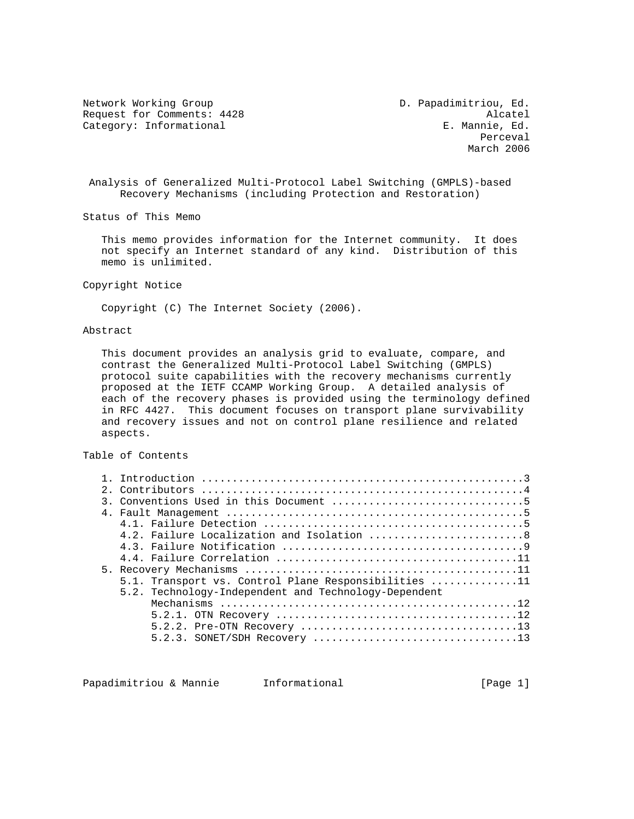Network Working Group D. Papadimitriou, Ed. Request for Comments: 4428 Alcatel<br>Category: Informational and E. Mannie, Ed. Category: Informational

**Perceval** March 2006

 Analysis of Generalized Multi-Protocol Label Switching (GMPLS)-based Recovery Mechanisms (including Protection and Restoration)

Status of This Memo

 This memo provides information for the Internet community. It does not specify an Internet standard of any kind. Distribution of this memo is unlimited.

Copyright Notice

Copyright (C) The Internet Society (2006).

## Abstract

 This document provides an analysis grid to evaluate, compare, and contrast the Generalized Multi-Protocol Label Switching (GMPLS) protocol suite capabilities with the recovery mechanisms currently proposed at the IETF CCAMP Working Group. A detailed analysis of each of the recovery phases is provided using the terminology defined in RFC 4427. This document focuses on transport plane survivability and recovery issues and not on control plane resilience and related aspects.

## Table of Contents

|  | 4.2. Failure Localization and Isolation 8            |  |  |  |
|--|------------------------------------------------------|--|--|--|
|  |                                                      |  |  |  |
|  |                                                      |  |  |  |
|  |                                                      |  |  |  |
|  | 5.1. Transport vs. Control Plane Responsibilities 11 |  |  |  |
|  | 5.2. Technology-Independent and Technology-Dependent |  |  |  |
|  |                                                      |  |  |  |
|  |                                                      |  |  |  |
|  |                                                      |  |  |  |
|  |                                                      |  |  |  |

Papadimitriou & Mannie 1nformational 1999 (Page 1)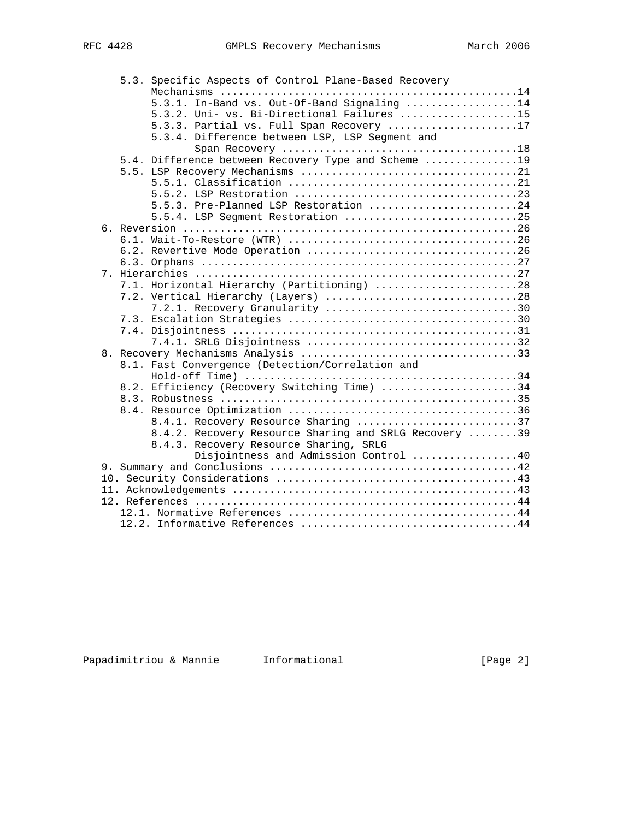|  | 5.3. Specific Aspects of Control Plane-Based Recovery |
|--|-------------------------------------------------------|
|  |                                                       |
|  | 5.3.1. In-Band vs. Out-Of-Band Signaling 14           |
|  | 5.3.2. Uni- vs. Bi-Directional Failures 15            |
|  | 5.3.3. Partial vs. Full Span Recovery 17              |
|  | 5.3.4. Difference between LSP, LSP Seqment and        |
|  |                                                       |
|  | 5.4. Difference between Recovery Type and Scheme 19   |
|  |                                                       |
|  |                                                       |
|  |                                                       |
|  | 5.5.3. Pre-Planned LSP Restoration 24                 |
|  | 5.5.4. LSP Segment Restoration 25                     |
|  |                                                       |
|  |                                                       |
|  |                                                       |
|  |                                                       |
|  |                                                       |
|  | 7.1. Horizontal Hierarchy (Partitioning) 28           |
|  | 7.2. Vertical Hierarchy (Layers) 28                   |
|  | 7.2.1. Recovery Granularity 30                        |
|  |                                                       |
|  |                                                       |
|  |                                                       |
|  |                                                       |
|  | 8.1. Fast Convergence (Detection/Correlation and      |
|  |                                                       |
|  | 8.2. Efficiency (Recovery Switching Time) 34          |
|  |                                                       |
|  |                                                       |
|  | 8.4.1. Recovery Resource Sharing 37                   |
|  | 8.4.2. Recovery Resource Sharing and SRLG Recovery 39 |
|  | 8.4.3. Recovery Resource Sharing, SRLG                |
|  | Disjointness and Admission Control 40                 |
|  |                                                       |
|  |                                                       |
|  |                                                       |
|  |                                                       |
|  |                                                       |
|  | 12.2. Informative References 44                       |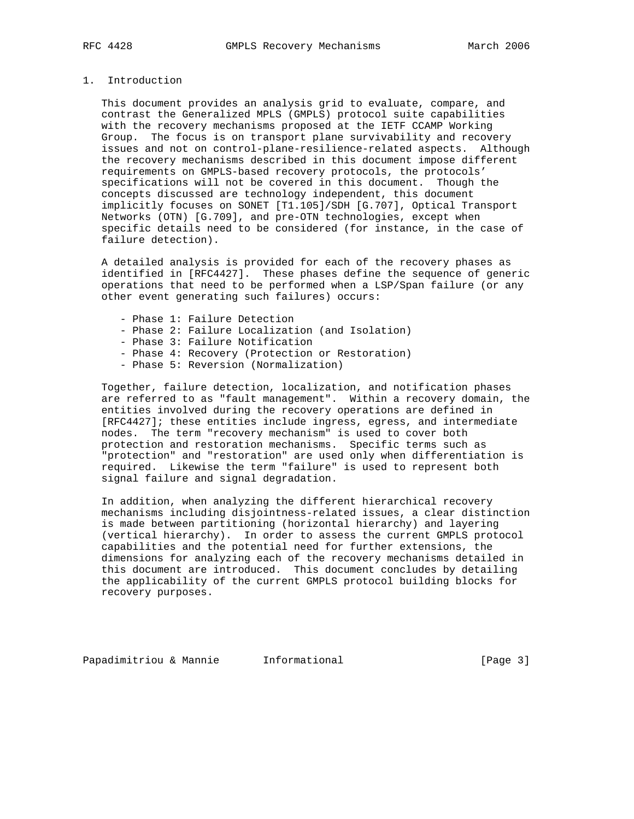# 1. Introduction

 This document provides an analysis grid to evaluate, compare, and contrast the Generalized MPLS (GMPLS) protocol suite capabilities with the recovery mechanisms proposed at the IETF CCAMP Working Group. The focus is on transport plane survivability and recovery issues and not on control-plane-resilience-related aspects. Although the recovery mechanisms described in this document impose different requirements on GMPLS-based recovery protocols, the protocols' specifications will not be covered in this document. Though the concepts discussed are technology independent, this document implicitly focuses on SONET [T1.105]/SDH [G.707], Optical Transport Networks (OTN) [G.709], and pre-OTN technologies, except when specific details need to be considered (for instance, in the case of failure detection).

 A detailed analysis is provided for each of the recovery phases as identified in [RFC4427]. These phases define the sequence of generic operations that need to be performed when a LSP/Span failure (or any other event generating such failures) occurs:

- Phase 1: Failure Detection
- Phase 2: Failure Localization (and Isolation)
- Phase 3: Failure Notification
- Phase 4: Recovery (Protection or Restoration)
- Phase 5: Reversion (Normalization)

 Together, failure detection, localization, and notification phases are referred to as "fault management". Within a recovery domain, the entities involved during the recovery operations are defined in [RFC4427]; these entities include ingress, egress, and intermediate nodes. The term "recovery mechanism" is used to cover both protection and restoration mechanisms. Specific terms such as "protection" and "restoration" are used only when differentiation is required. Likewise the term "failure" is used to represent both signal failure and signal degradation.

 In addition, when analyzing the different hierarchical recovery mechanisms including disjointness-related issues, a clear distinction is made between partitioning (horizontal hierarchy) and layering (vertical hierarchy). In order to assess the current GMPLS protocol capabilities and the potential need for further extensions, the dimensions for analyzing each of the recovery mechanisms detailed in this document are introduced. This document concludes by detailing the applicability of the current GMPLS protocol building blocks for recovery purposes.

Papadimitriou & Mannie 1nformational 1999 (Page 3)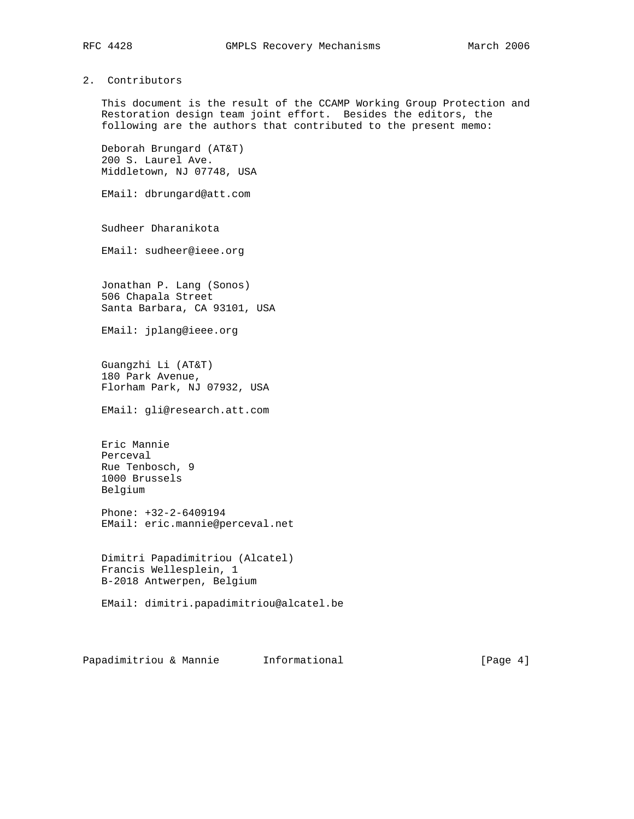# 2. Contributors

 This document is the result of the CCAMP Working Group Protection and Restoration design team joint effort. Besides the editors, the following are the authors that contributed to the present memo:

 Deborah Brungard (AT&T) 200 S. Laurel Ave. Middletown, NJ 07748, USA

EMail: dbrungard@att.com

Sudheer Dharanikota

EMail: sudheer@ieee.org

 Jonathan P. Lang (Sonos) 506 Chapala Street Santa Barbara, CA 93101, USA

EMail: jplang@ieee.org

 Guangzhi Li (AT&T) 180 Park Avenue, Florham Park, NJ 07932, USA

EMail: gli@research.att.com

 Eric Mannie Perceval Rue Tenbosch, 9 1000 Brussels Belgium

 Phone: +32-2-6409194 EMail: eric.mannie@perceval.net

 Dimitri Papadimitriou (Alcatel) Francis Wellesplein, 1 B-2018 Antwerpen, Belgium

EMail: dimitri.papadimitriou@alcatel.be

Papadimitriou & Mannie 1nformational 1999 (Page 4)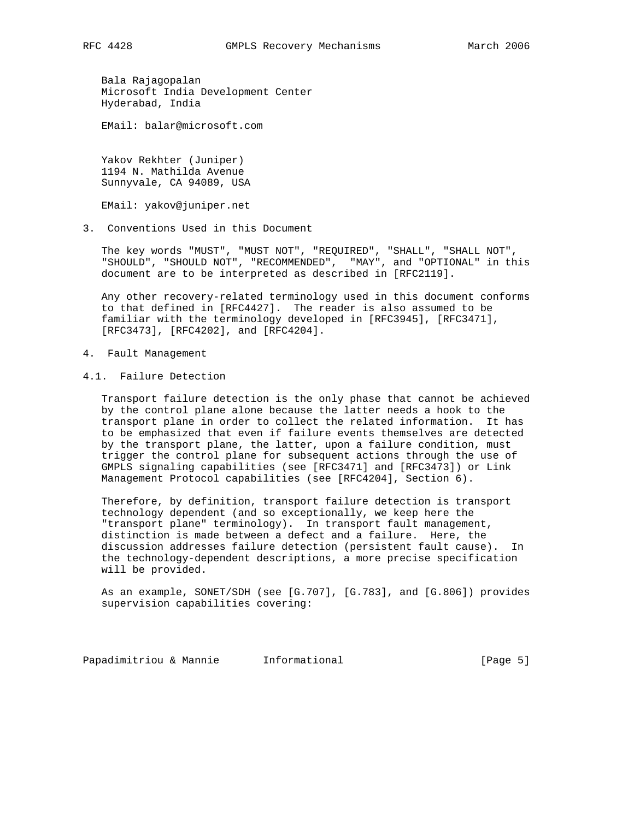Bala Rajagopalan Microsoft India Development Center Hyderabad, India

EMail: balar@microsoft.com

 Yakov Rekhter (Juniper) 1194 N. Mathilda Avenue Sunnyvale, CA 94089, USA

EMail: yakov@juniper.net

3. Conventions Used in this Document

 The key words "MUST", "MUST NOT", "REQUIRED", "SHALL", "SHALL NOT", "SHOULD", "SHOULD NOT", "RECOMMENDED", "MAY", and "OPTIONAL" in this document are to be interpreted as described in [RFC2119].

 Any other recovery-related terminology used in this document conforms to that defined in [RFC4427]. The reader is also assumed to be familiar with the terminology developed in [RFC3945], [RFC3471], [RFC3473], [RFC4202], and [RFC4204].

- 4. Fault Management
- 4.1. Failure Detection

 Transport failure detection is the only phase that cannot be achieved by the control plane alone because the latter needs a hook to the transport plane in order to collect the related information. It has to be emphasized that even if failure events themselves are detected by the transport plane, the latter, upon a failure condition, must trigger the control plane for subsequent actions through the use of GMPLS signaling capabilities (see [RFC3471] and [RFC3473]) or Link Management Protocol capabilities (see [RFC4204], Section 6).

 Therefore, by definition, transport failure detection is transport technology dependent (and so exceptionally, we keep here the "transport plane" terminology). In transport fault management, distinction is made between a defect and a failure. Here, the discussion addresses failure detection (persistent fault cause). In the technology-dependent descriptions, a more precise specification will be provided.

 As an example, SONET/SDH (see [G.707], [G.783], and [G.806]) provides supervision capabilities covering:

Papadimitriou & Mannie 1nformational 1999 (Page 5)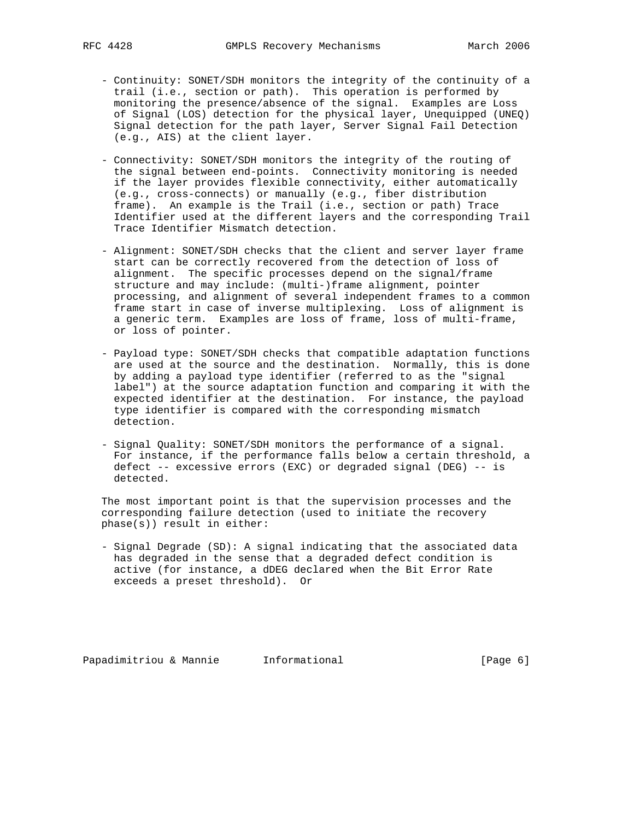- Continuity: SONET/SDH monitors the integrity of the continuity of a trail (i.e., section or path). This operation is performed by monitoring the presence/absence of the signal. Examples are Loss of Signal (LOS) detection for the physical layer, Unequipped (UNEQ) Signal detection for the path layer, Server Signal Fail Detection (e.g., AIS) at the client layer.
	- Connectivity: SONET/SDH monitors the integrity of the routing of the signal between end-points. Connectivity monitoring is needed if the layer provides flexible connectivity, either automatically (e.g., cross-connects) or manually (e.g., fiber distribution frame). An example is the Trail (i.e., section or path) Trace Identifier used at the different layers and the corresponding Trail Trace Identifier Mismatch detection.
	- Alignment: SONET/SDH checks that the client and server layer frame start can be correctly recovered from the detection of loss of alignment. The specific processes depend on the signal/frame structure and may include: (multi-)frame alignment, pointer processing, and alignment of several independent frames to a common frame start in case of inverse multiplexing. Loss of alignment is a generic term. Examples are loss of frame, loss of multi-frame, or loss of pointer.
	- Payload type: SONET/SDH checks that compatible adaptation functions are used at the source and the destination. Normally, this is done by adding a payload type identifier (referred to as the "signal label") at the source adaptation function and comparing it with the expected identifier at the destination. For instance, the payload type identifier is compared with the corresponding mismatch detection.
	- Signal Quality: SONET/SDH monitors the performance of a signal. For instance, if the performance falls below a certain threshold, a defect -- excessive errors (EXC) or degraded signal (DEG) -- is detected.

 The most important point is that the supervision processes and the corresponding failure detection (used to initiate the recovery phase(s)) result in either:

 - Signal Degrade (SD): A signal indicating that the associated data has degraded in the sense that a degraded defect condition is active (for instance, a dDEG declared when the Bit Error Rate exceeds a preset threshold). Or

Papadimitriou & Mannie 1nformational 1999 (Page 6)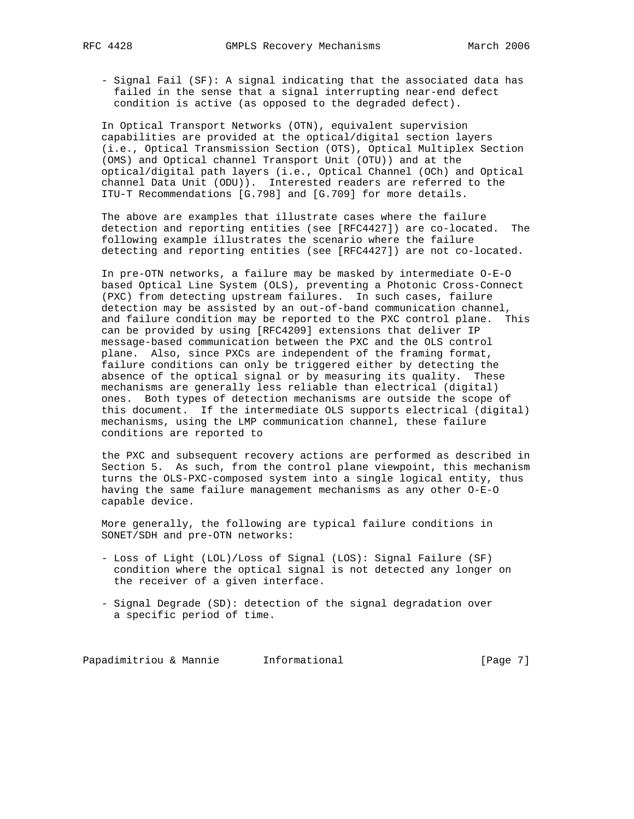- Signal Fail (SF): A signal indicating that the associated data has failed in the sense that a signal interrupting near-end defect condition is active (as opposed to the degraded defect).

 In Optical Transport Networks (OTN), equivalent supervision capabilities are provided at the optical/digital section layers (i.e., Optical Transmission Section (OTS), Optical Multiplex Section (OMS) and Optical channel Transport Unit (OTU)) and at the optical/digital path layers (i.e., Optical Channel (OCh) and Optical channel Data Unit (ODU)). Interested readers are referred to the ITU-T Recommendations [G.798] and [G.709] for more details.

 The above are examples that illustrate cases where the failure detection and reporting entities (see [RFC4427]) are co-located. The following example illustrates the scenario where the failure detecting and reporting entities (see [RFC4427]) are not co-located.

 In pre-OTN networks, a failure may be masked by intermediate O-E-O based Optical Line System (OLS), preventing a Photonic Cross-Connect (PXC) from detecting upstream failures. In such cases, failure detection may be assisted by an out-of-band communication channel, and failure condition may be reported to the PXC control plane. This can be provided by using [RFC4209] extensions that deliver IP message-based communication between the PXC and the OLS control plane. Also, since PXCs are independent of the framing format, failure conditions can only be triggered either by detecting the absence of the optical signal or by measuring its quality. These mechanisms are generally less reliable than electrical (digital) ones. Both types of detection mechanisms are outside the scope of this document. If the intermediate OLS supports electrical (digital) mechanisms, using the LMP communication channel, these failure conditions are reported to

 the PXC and subsequent recovery actions are performed as described in Section 5. As such, from the control plane viewpoint, this mechanism turns the OLS-PXC-composed system into a single logical entity, thus having the same failure management mechanisms as any other O-E-O capable device.

 More generally, the following are typical failure conditions in SONET/SDH and pre-OTN networks:

- Loss of Light (LOL)/Loss of Signal (LOS): Signal Failure (SF) condition where the optical signal is not detected any longer on the receiver of a given interface.
- Signal Degrade (SD): detection of the signal degradation over a specific period of time.

Papadimitriou & Mannie Informational (Page 7)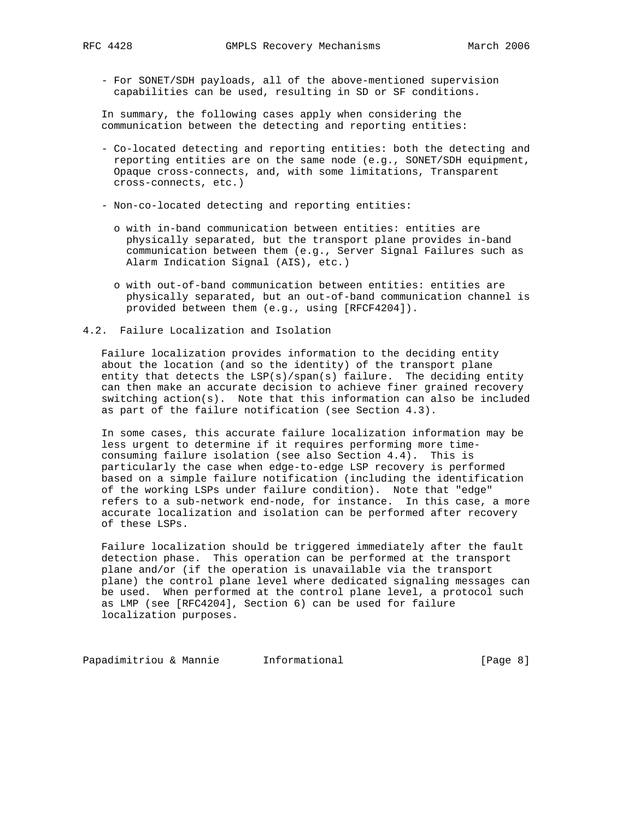- For SONET/SDH payloads, all of the above-mentioned supervision capabilities can be used, resulting in SD or SF conditions.

 In summary, the following cases apply when considering the communication between the detecting and reporting entities:

- Co-located detecting and reporting entities: both the detecting and reporting entities are on the same node (e.g., SONET/SDH equipment, Opaque cross-connects, and, with some limitations, Transparent cross-connects, etc.)
- Non-co-located detecting and reporting entities:
	- o with in-band communication between entities: entities are physically separated, but the transport plane provides in-band communication between them (e.g., Server Signal Failures such as Alarm Indication Signal (AIS), etc.)
	- o with out-of-band communication between entities: entities are physically separated, but an out-of-band communication channel is provided between them (e.g., using [RFCF4204]).
- 4.2. Failure Localization and Isolation

 Failure localization provides information to the deciding entity about the location (and so the identity) of the transport plane entity that detects the LSP(s)/span(s) failure. The deciding entity can then make an accurate decision to achieve finer grained recovery switching action(s). Note that this information can also be included as part of the failure notification (see Section 4.3).

 In some cases, this accurate failure localization information may be less urgent to determine if it requires performing more time consuming failure isolation (see also Section 4.4). This is particularly the case when edge-to-edge LSP recovery is performed based on a simple failure notification (including the identification of the working LSPs under failure condition). Note that "edge" refers to a sub-network end-node, for instance. In this case, a more accurate localization and isolation can be performed after recovery of these LSPs.

 Failure localization should be triggered immediately after the fault detection phase. This operation can be performed at the transport plane and/or (if the operation is unavailable via the transport plane) the control plane level where dedicated signaling messages can be used. When performed at the control plane level, a protocol such as LMP (see [RFC4204], Section 6) can be used for failure localization purposes.

Papadimitriou & Mannie 1nformational 1999 (Page 8)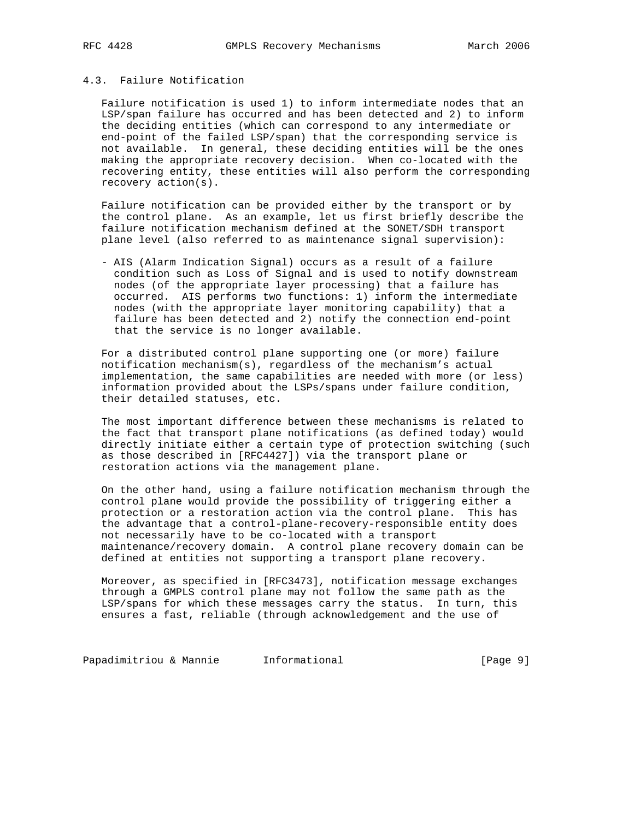# 4.3. Failure Notification

 Failure notification is used 1) to inform intermediate nodes that an LSP/span failure has occurred and has been detected and 2) to inform the deciding entities (which can correspond to any intermediate or end-point of the failed LSP/span) that the corresponding service is not available. In general, these deciding entities will be the ones making the appropriate recovery decision. When co-located with the recovering entity, these entities will also perform the corresponding recovery action(s).

 Failure notification can be provided either by the transport or by the control plane. As an example, let us first briefly describe the failure notification mechanism defined at the SONET/SDH transport plane level (also referred to as maintenance signal supervision):

 - AIS (Alarm Indication Signal) occurs as a result of a failure condition such as Loss of Signal and is used to notify downstream nodes (of the appropriate layer processing) that a failure has occurred. AIS performs two functions: 1) inform the intermediate nodes (with the appropriate layer monitoring capability) that a failure has been detected and 2) notify the connection end-point that the service is no longer available.

 For a distributed control plane supporting one (or more) failure notification mechanism(s), regardless of the mechanism's actual implementation, the same capabilities are needed with more (or less) information provided about the LSPs/spans under failure condition, their detailed statuses, etc.

 The most important difference between these mechanisms is related to the fact that transport plane notifications (as defined today) would directly initiate either a certain type of protection switching (such as those described in [RFC4427]) via the transport plane or restoration actions via the management plane.

 On the other hand, using a failure notification mechanism through the control plane would provide the possibility of triggering either a protection or a restoration action via the control plane. This has the advantage that a control-plane-recovery-responsible entity does not necessarily have to be co-located with a transport maintenance/recovery domain. A control plane recovery domain can be defined at entities not supporting a transport plane recovery.

 Moreover, as specified in [RFC3473], notification message exchanges through a GMPLS control plane may not follow the same path as the LSP/spans for which these messages carry the status. In turn, this ensures a fast, reliable (through acknowledgement and the use of

Papadimitriou & Mannie 1nformational 1999 [Page 9]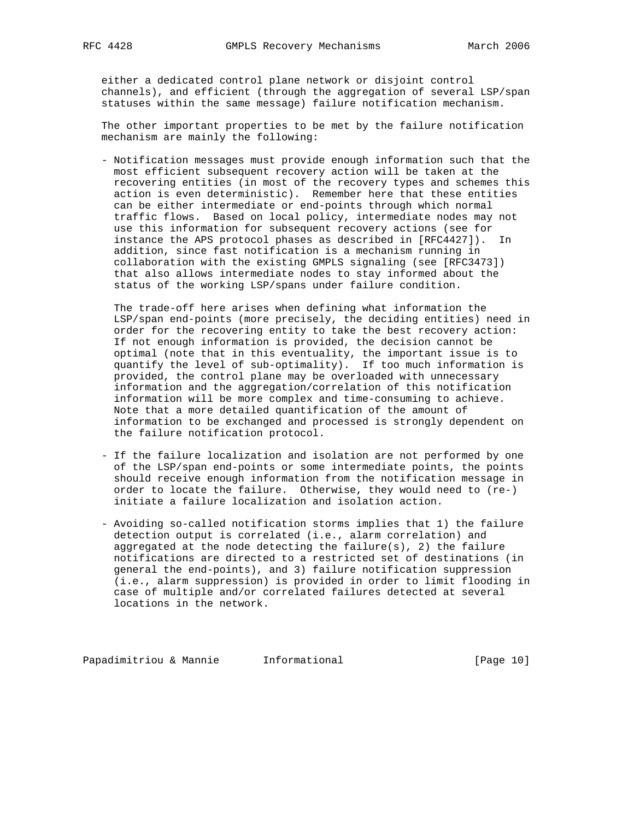either a dedicated control plane network or disjoint control channels), and efficient (through the aggregation of several LSP/span statuses within the same message) failure notification mechanism.

 The other important properties to be met by the failure notification mechanism are mainly the following:

 - Notification messages must provide enough information such that the most efficient subsequent recovery action will be taken at the recovering entities (in most of the recovery types and schemes this action is even deterministic). Remember here that these entities can be either intermediate or end-points through which normal traffic flows. Based on local policy, intermediate nodes may not use this information for subsequent recovery actions (see for instance the APS protocol phases as described in [RFC4427]). In addition, since fast notification is a mechanism running in collaboration with the existing GMPLS signaling (see [RFC3473]) that also allows intermediate nodes to stay informed about the status of the working LSP/spans under failure condition.

 The trade-off here arises when defining what information the LSP/span end-points (more precisely, the deciding entities) need in order for the recovering entity to take the best recovery action: If not enough information is provided, the decision cannot be optimal (note that in this eventuality, the important issue is to quantify the level of sub-optimality). If too much information is provided, the control plane may be overloaded with unnecessary information and the aggregation/correlation of this notification information will be more complex and time-consuming to achieve. Note that a more detailed quantification of the amount of information to be exchanged and processed is strongly dependent on the failure notification protocol.

- If the failure localization and isolation are not performed by one of the LSP/span end-points or some intermediate points, the points should receive enough information from the notification message in order to locate the failure. Otherwise, they would need to (re-) initiate a failure localization and isolation action.
- Avoiding so-called notification storms implies that 1) the failure detection output is correlated (i.e., alarm correlation) and aggregated at the node detecting the failure(s), 2) the failure notifications are directed to a restricted set of destinations (in general the end-points), and 3) failure notification suppression (i.e., alarm suppression) is provided in order to limit flooding in case of multiple and/or correlated failures detected at several locations in the network.

Papadimitriou & Mannie Informational [Page 10]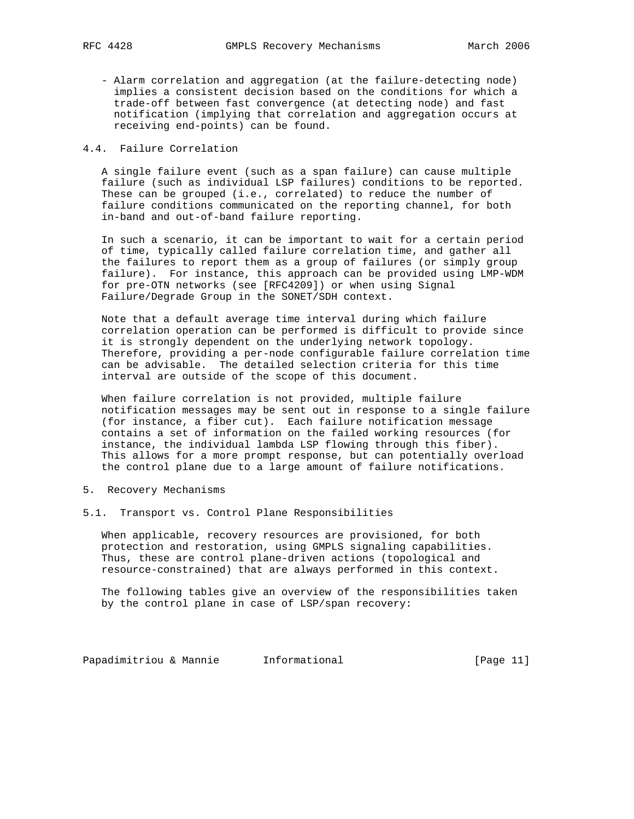- Alarm correlation and aggregation (at the failure-detecting node) implies a consistent decision based on the conditions for which a trade-off between fast convergence (at detecting node) and fast notification (implying that correlation and aggregation occurs at receiving end-points) can be found.

# 4.4. Failure Correlation

 A single failure event (such as a span failure) can cause multiple failure (such as individual LSP failures) conditions to be reported. These can be grouped (i.e., correlated) to reduce the number of failure conditions communicated on the reporting channel, for both in-band and out-of-band failure reporting.

 In such a scenario, it can be important to wait for a certain period of time, typically called failure correlation time, and gather all the failures to report them as a group of failures (or simply group failure). For instance, this approach can be provided using LMP-WDM for pre-OTN networks (see [RFC4209]) or when using Signal Failure/Degrade Group in the SONET/SDH context.

 Note that a default average time interval during which failure correlation operation can be performed is difficult to provide since it is strongly dependent on the underlying network topology. Therefore, providing a per-node configurable failure correlation time can be advisable. The detailed selection criteria for this time interval are outside of the scope of this document.

 When failure correlation is not provided, multiple failure notification messages may be sent out in response to a single failure (for instance, a fiber cut). Each failure notification message contains a set of information on the failed working resources (for instance, the individual lambda LSP flowing through this fiber). This allows for a more prompt response, but can potentially overload the control plane due to a large amount of failure notifications.

- 5. Recovery Mechanisms
- 5.1. Transport vs. Control Plane Responsibilities

 When applicable, recovery resources are provisioned, for both protection and restoration, using GMPLS signaling capabilities. Thus, these are control plane-driven actions (topological and resource-constrained) that are always performed in this context.

 The following tables give an overview of the responsibilities taken by the control plane in case of LSP/span recovery:

Papadimitriou & Mannie Informational (Page 11)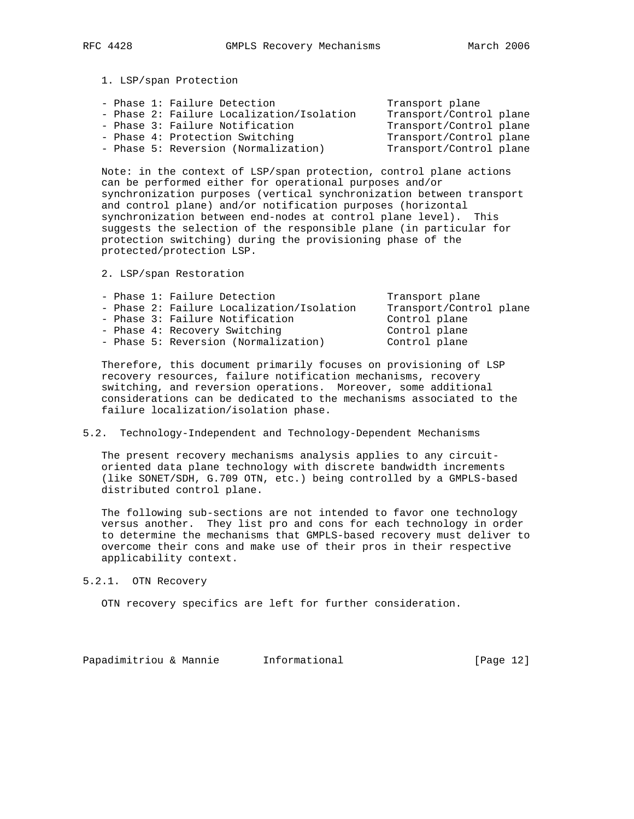1. LSP/span Protection

|  | - Phase 1: Failure Detection              | Transport plane         |
|--|-------------------------------------------|-------------------------|
|  | - Phase 2: Failure Localization/Isolation | Transport/Control plane |
|  | - Phase 3: Failure Notification           | Transport/Control plane |
|  | - Phase 4: Protection Switching           | Transport/Control plane |
|  | - Phase 5: Reversion (Normalization)      | Transport/Control plane |
|  |                                           |                         |

 Note: in the context of LSP/span protection, control plane actions can be performed either for operational purposes and/or synchronization purposes (vertical synchronization between transport and control plane) and/or notification purposes (horizontal synchronization between end-nodes at control plane level). This suggests the selection of the responsible plane (in particular for protection switching) during the provisioning phase of the protected/protection LSP.

2. LSP/span Restoration

| - Phase 1: Failure Detection              | Transport plane         |
|-------------------------------------------|-------------------------|
| - Phase 2: Failure Localization/Isolation | Transport/Control plane |
| - Phase 3: Failure Notification           | Control plane           |
| - Phase 4: Recovery Switching             | Control plane           |
| - Phase 5: Reversion (Normalization)      | Control plane           |
|                                           |                         |

 Therefore, this document primarily focuses on provisioning of LSP recovery resources, failure notification mechanisms, recovery switching, and reversion operations. Moreover, some additional considerations can be dedicated to the mechanisms associated to the failure localization/isolation phase.

## 5.2. Technology-Independent and Technology-Dependent Mechanisms

 The present recovery mechanisms analysis applies to any circuit oriented data plane technology with discrete bandwidth increments (like SONET/SDH, G.709 OTN, etc.) being controlled by a GMPLS-based distributed control plane.

 The following sub-sections are not intended to favor one technology versus another. They list pro and cons for each technology in order to determine the mechanisms that GMPLS-based recovery must deliver to overcome their cons and make use of their pros in their respective applicability context.

5.2.1. OTN Recovery

OTN recovery specifics are left for further consideration.

Papadimitriou & Mannie Informational [Page 12]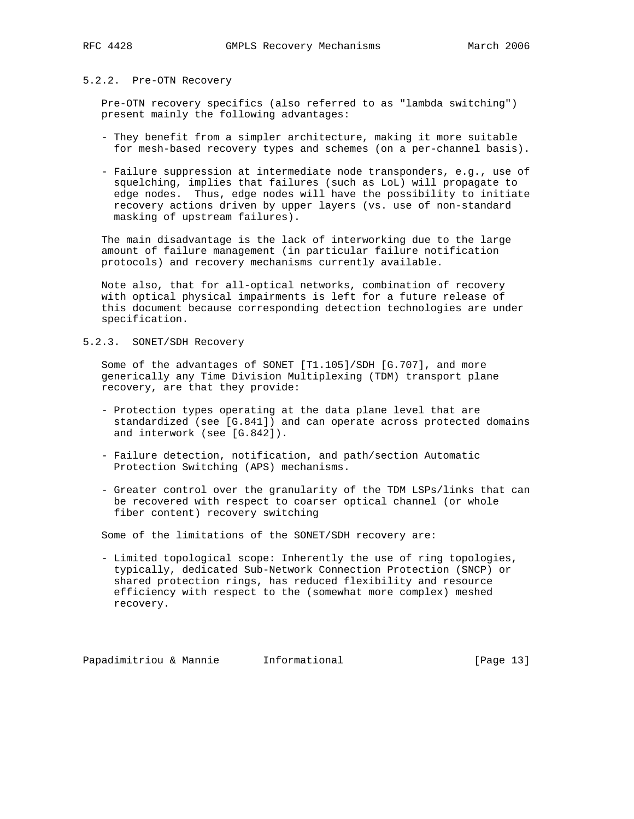# 5.2.2. Pre-OTN Recovery

 Pre-OTN recovery specifics (also referred to as "lambda switching") present mainly the following advantages:

- They benefit from a simpler architecture, making it more suitable for mesh-based recovery types and schemes (on a per-channel basis).
- Failure suppression at intermediate node transponders, e.g., use of squelching, implies that failures (such as LoL) will propagate to edge nodes. Thus, edge nodes will have the possibility to initiate recovery actions driven by upper layers (vs. use of non-standard masking of upstream failures).

 The main disadvantage is the lack of interworking due to the large amount of failure management (in particular failure notification protocols) and recovery mechanisms currently available.

 Note also, that for all-optical networks, combination of recovery with optical physical impairments is left for a future release of this document because corresponding detection technologies are under specification.

## 5.2.3. SONET/SDH Recovery

 Some of the advantages of SONET [T1.105]/SDH [G.707], and more generically any Time Division Multiplexing (TDM) transport plane recovery, are that they provide:

- Protection types operating at the data plane level that are standardized (see [G.841]) and can operate across protected domains and interwork (see [G.842]).
- Failure detection, notification, and path/section Automatic Protection Switching (APS) mechanisms.
- Greater control over the granularity of the TDM LSPs/links that can be recovered with respect to coarser optical channel (or whole fiber content) recovery switching

Some of the limitations of the SONET/SDH recovery are:

 - Limited topological scope: Inherently the use of ring topologies, typically, dedicated Sub-Network Connection Protection (SNCP) or shared protection rings, has reduced flexibility and resource efficiency with respect to the (somewhat more complex) meshed recovery.

Papadimitriou & Mannie Informational [Page 13]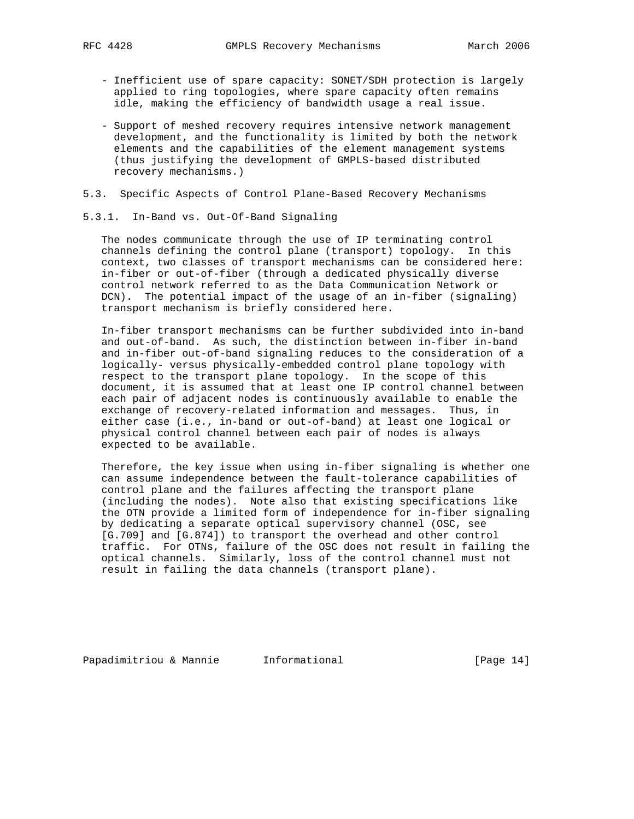- Inefficient use of spare capacity: SONET/SDH protection is largely applied to ring topologies, where spare capacity often remains idle, making the efficiency of bandwidth usage a real issue.
- Support of meshed recovery requires intensive network management development, and the functionality is limited by both the network elements and the capabilities of the element management systems (thus justifying the development of GMPLS-based distributed recovery mechanisms.)
- 5.3. Specific Aspects of Control Plane-Based Recovery Mechanisms
- 5.3.1. In-Band vs. Out-Of-Band Signaling

 The nodes communicate through the use of IP terminating control channels defining the control plane (transport) topology. In this context, two classes of transport mechanisms can be considered here: in-fiber or out-of-fiber (through a dedicated physically diverse control network referred to as the Data Communication Network or DCN). The potential impact of the usage of an in-fiber (signaling) transport mechanism is briefly considered here.

 In-fiber transport mechanisms can be further subdivided into in-band and out-of-band. As such, the distinction between in-fiber in-band and in-fiber out-of-band signaling reduces to the consideration of a logically- versus physically-embedded control plane topology with respect to the transport plane topology. In the scope of this document, it is assumed that at least one IP control channel between each pair of adjacent nodes is continuously available to enable the exchange of recovery-related information and messages. Thus, in either case (i.e., in-band or out-of-band) at least one logical or physical control channel between each pair of nodes is always expected to be available.

 Therefore, the key issue when using in-fiber signaling is whether one can assume independence between the fault-tolerance capabilities of control plane and the failures affecting the transport plane (including the nodes). Note also that existing specifications like the OTN provide a limited form of independence for in-fiber signaling by dedicating a separate optical supervisory channel (OSC, see [G.709] and [G.874]) to transport the overhead and other control traffic. For OTNs, failure of the OSC does not result in failing the optical channels. Similarly, loss of the control channel must not result in failing the data channels (transport plane).

Papadimitriou & Mannie Informational [Page 14]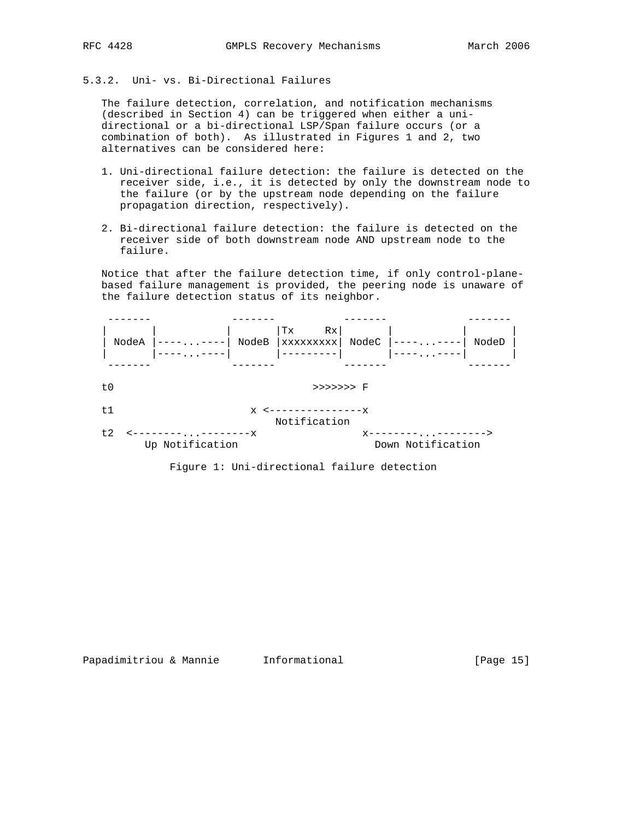# 5.3.2. Uni- vs. Bi-Directional Failures

 The failure detection, correlation, and notification mechanisms (described in Section 4) can be triggered when either a uni directional or a bi-directional LSP/Span failure occurs (or a combination of both). As illustrated in Figures 1 and 2, two alternatives can be considered here:

- 1. Uni-directional failure detection: the failure is detected on the receiver side, i.e., it is detected by only the downstream node to the failure (or by the upstream node depending on the failure propagation direction, respectively).
- 2. Bi-directional failure detection: the failure is detected on the receiver side of both downstream node AND upstream node to the failure.

 Notice that after the failure detection time, if only control-plane based failure management is provided, the peering node is unaware of the failure detection status of its neighbor.



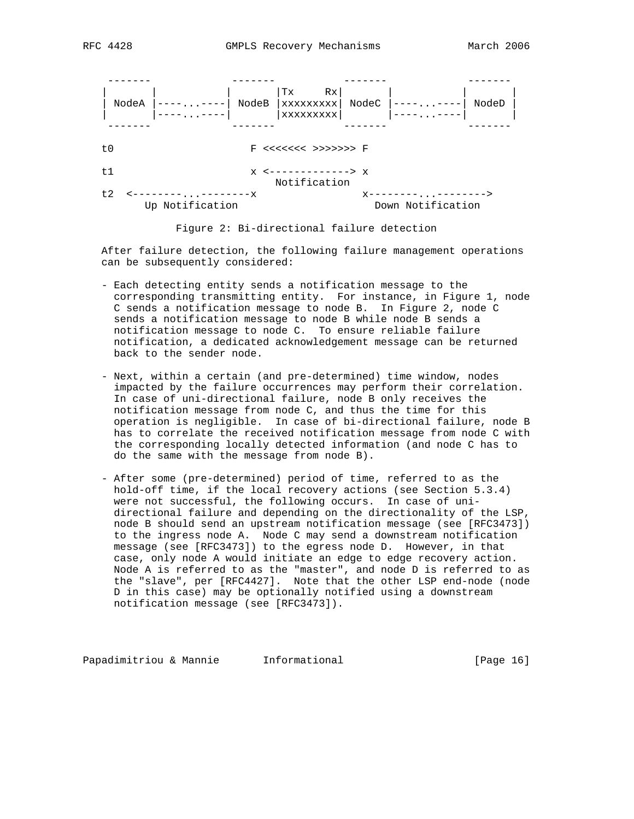| NodeA |                 | NodeB        | Rx<br>Tх<br>XXXXXXXXX<br>XXXXXXXXX | NodeC |                   | NodeD |
|-------|-----------------|--------------|------------------------------------|-------|-------------------|-------|
|       |                 |              |                                    |       |                   |       |
| t0    |                 |              | F <<<<<<< >>>>>>>>F                |       |                   |       |
| t1    |                 | $\mathbf{x}$ | ----------> x<br>Notification      |       |                   |       |
| t.2   | Up Notification | $---x$       |                                    | x.    | Down Notification |       |

Figure 2: Bi-directional failure detection

 After failure detection, the following failure management operations can be subsequently considered:

- Each detecting entity sends a notification message to the corresponding transmitting entity. For instance, in Figure 1, node C sends a notification message to node B. In Figure 2, node C sends a notification message to node B while node B sends a notification message to node C. To ensure reliable failure notification, a dedicated acknowledgement message can be returned back to the sender node.
- Next, within a certain (and pre-determined) time window, nodes impacted by the failure occurrences may perform their correlation. In case of uni-directional failure, node B only receives the notification message from node C, and thus the time for this operation is negligible. In case of bi-directional failure, node B has to correlate the received notification message from node C with the corresponding locally detected information (and node C has to do the same with the message from node B).
- After some (pre-determined) period of time, referred to as the hold-off time, if the local recovery actions (see Section 5.3.4) were not successful, the following occurs. In case of uni directional failure and depending on the directionality of the LSP, node B should send an upstream notification message (see [RFC3473]) to the ingress node A. Node C may send a downstream notification message (see [RFC3473]) to the egress node D. However, in that case, only node A would initiate an edge to edge recovery action. Node A is referred to as the "master", and node D is referred to as the "slave", per [RFC4427]. Note that the other LSP end-node (node D in this case) may be optionally notified using a downstream notification message (see [RFC3473]).

Papadimitriou & Mannie 1nformational [Page 16]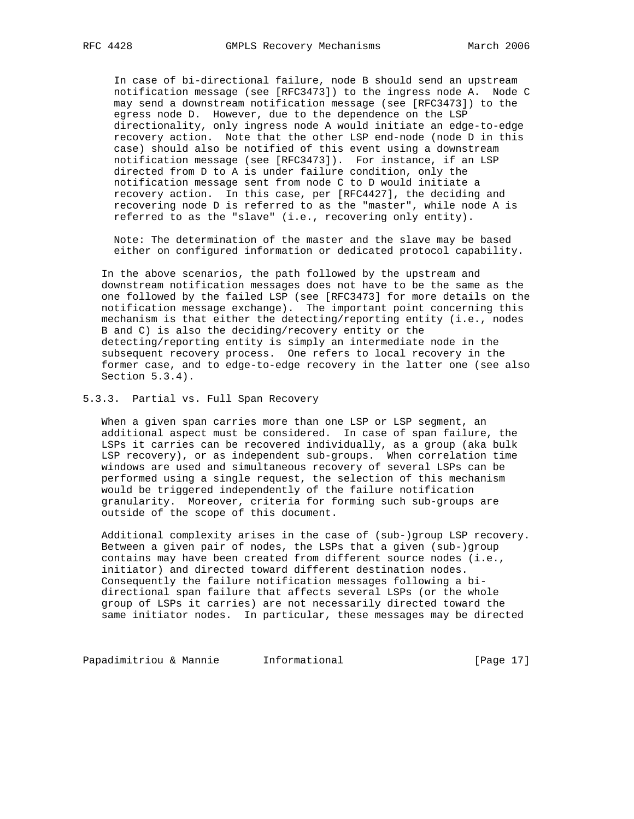In case of bi-directional failure, node B should send an upstream notification message (see [RFC3473]) to the ingress node A. Node C may send a downstream notification message (see [RFC3473]) to the egress node D. However, due to the dependence on the LSP directionality, only ingress node A would initiate an edge-to-edge recovery action. Note that the other LSP end-node (node D in this case) should also be notified of this event using a downstream notification message (see [RFC3473]). For instance, if an LSP directed from D to A is under failure condition, only the notification message sent from node C to D would initiate a recovery action. In this case, per [RFC4427], the deciding and recovering node D is referred to as the "master", while node A is referred to as the "slave" (i.e., recovering only entity).

 Note: The determination of the master and the slave may be based either on configured information or dedicated protocol capability.

 In the above scenarios, the path followed by the upstream and downstream notification messages does not have to be the same as the one followed by the failed LSP (see [RFC3473] for more details on the notification message exchange). The important point concerning this mechanism is that either the detecting/reporting entity (i.e., nodes B and C) is also the deciding/recovery entity or the detecting/reporting entity is simply an intermediate node in the subsequent recovery process. One refers to local recovery in the former case, and to edge-to-edge recovery in the latter one (see also Section 5.3.4).

5.3.3. Partial vs. Full Span Recovery

 When a given span carries more than one LSP or LSP segment, an additional aspect must be considered. In case of span failure, the LSPs it carries can be recovered individually, as a group (aka bulk LSP recovery), or as independent sub-groups. When correlation time windows are used and simultaneous recovery of several LSPs can be performed using a single request, the selection of this mechanism would be triggered independently of the failure notification granularity. Moreover, criteria for forming such sub-groups are outside of the scope of this document.

 Additional complexity arises in the case of (sub-)group LSP recovery. Between a given pair of nodes, the LSPs that a given (sub-)group contains may have been created from different source nodes (i.e., initiator) and directed toward different destination nodes. Consequently the failure notification messages following a bi directional span failure that affects several LSPs (or the whole group of LSPs it carries) are not necessarily directed toward the same initiator nodes. In particular, these messages may be directed

Papadimitriou & Mannie 1nformational 1999 [Page 17]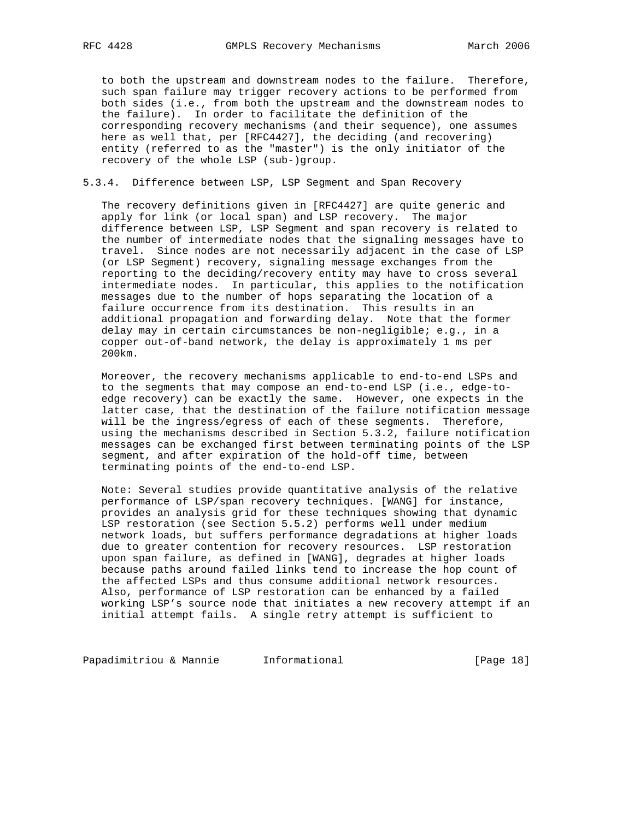to both the upstream and downstream nodes to the failure. Therefore, such span failure may trigger recovery actions to be performed from both sides (i.e., from both the upstream and the downstream nodes to the failure). In order to facilitate the definition of the corresponding recovery mechanisms (and their sequence), one assumes here as well that, per [RFC4427], the deciding (and recovering) entity (referred to as the "master") is the only initiator of the recovery of the whole LSP (sub-)group.

# 5.3.4. Difference between LSP, LSP Segment and Span Recovery

 The recovery definitions given in [RFC4427] are quite generic and apply for link (or local span) and LSP recovery. The major difference between LSP, LSP Segment and span recovery is related to the number of intermediate nodes that the signaling messages have to travel. Since nodes are not necessarily adjacent in the case of LSP (or LSP Segment) recovery, signaling message exchanges from the reporting to the deciding/recovery entity may have to cross several intermediate nodes. In particular, this applies to the notification messages due to the number of hops separating the location of a failure occurrence from its destination. This results in an additional propagation and forwarding delay. Note that the former delay may in certain circumstances be non-negligible; e.g., in a copper out-of-band network, the delay is approximately 1 ms per 200km.

 Moreover, the recovery mechanisms applicable to end-to-end LSPs and to the segments that may compose an end-to-end LSP (i.e., edge-to edge recovery) can be exactly the same. However, one expects in the latter case, that the destination of the failure notification message will be the ingress/egress of each of these segments. Therefore, using the mechanisms described in Section 5.3.2, failure notification messages can be exchanged first between terminating points of the LSP segment, and after expiration of the hold-off time, between terminating points of the end-to-end LSP.

 Note: Several studies provide quantitative analysis of the relative performance of LSP/span recovery techniques. [WANG] for instance, provides an analysis grid for these techniques showing that dynamic LSP restoration (see Section 5.5.2) performs well under medium network loads, but suffers performance degradations at higher loads due to greater contention for recovery resources. LSP restoration upon span failure, as defined in [WANG], degrades at higher loads because paths around failed links tend to increase the hop count of the affected LSPs and thus consume additional network resources. Also, performance of LSP restoration can be enhanced by a failed working LSP's source node that initiates a new recovery attempt if an initial attempt fails. A single retry attempt is sufficient to

Papadimitriou & Mannie Informational (Page 18)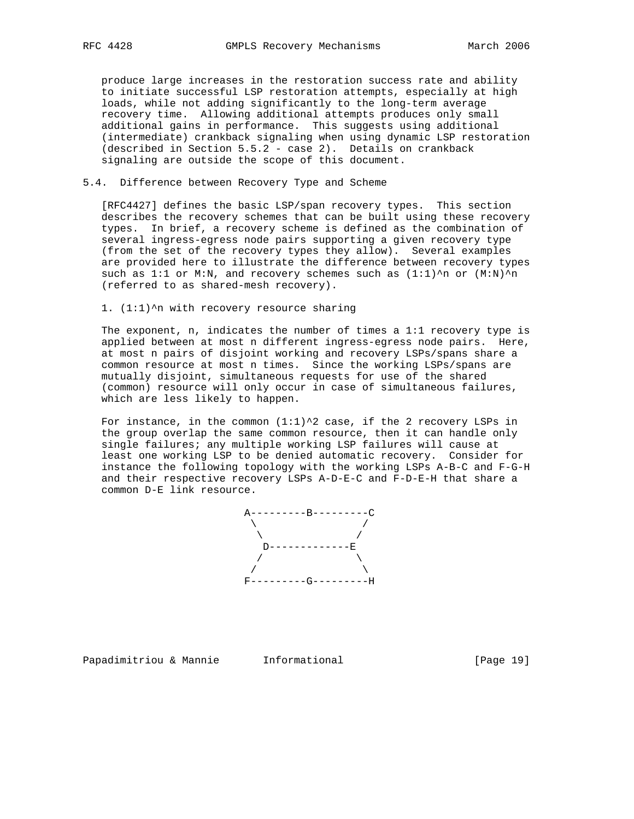produce large increases in the restoration success rate and ability to initiate successful LSP restoration attempts, especially at high loads, while not adding significantly to the long-term average recovery time. Allowing additional attempts produces only small additional gains in performance. This suggests using additional (intermediate) crankback signaling when using dynamic LSP restoration (described in Section 5.5.2 - case 2). Details on crankback signaling are outside the scope of this document.

# 5.4. Difference between Recovery Type and Scheme

 [RFC4427] defines the basic LSP/span recovery types. This section describes the recovery schemes that can be built using these recovery types. In brief, a recovery scheme is defined as the combination of several ingress-egress node pairs supporting a given recovery type (from the set of the recovery types they allow). Several examples are provided here to illustrate the difference between recovery types such as 1:1 or M:N, and recovery schemes such as  $(1:1)^n$  or  $(M:N)^n$ (referred to as shared-mesh recovery).

#### 1. (1:1)^n with recovery resource sharing

 The exponent, n, indicates the number of times a 1:1 recovery type is applied between at most n different ingress-egress node pairs. Here, at most n pairs of disjoint working and recovery LSPs/spans share a common resource at most n times. Since the working LSPs/spans are mutually disjoint, simultaneous requests for use of the shared (common) resource will only occur in case of simultaneous failures, which are less likely to happen.

For instance, in the common  $(1:1)^2$  case, if the 2 recovery LSPs in the group overlap the same common resource, then it can handle only single failures; any multiple working LSP failures will cause at least one working LSP to be denied automatic recovery. Consider for instance the following topology with the working LSPs A-B-C and F-G-H and their respective recovery LSPs A-D-E-C and F-D-E-H that share a common D-E link resource.



Papadimitriou & Mannie Informational [Page 19]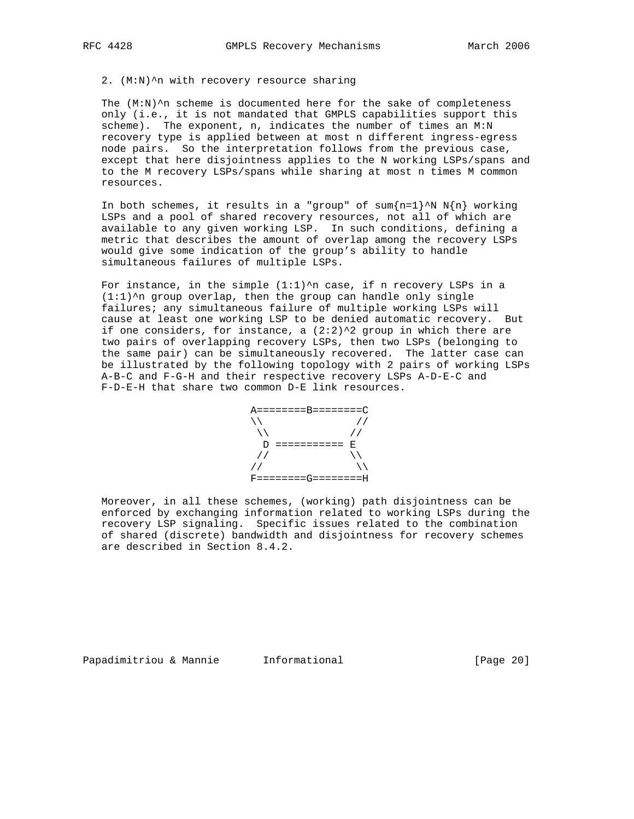#### 2. (M:N)^n with recovery resource sharing

The  $(M:N)^n$  scheme is documented here for the sake of completeness only (i.e., it is not mandated that GMPLS capabilities support this scheme). The exponent, n, indicates the number of times an M:N recovery type is applied between at most n different ingress-egress node pairs. So the interpretation follows from the previous case, except that here disjointness applies to the N working LSPs/spans and to the M recovery LSPs/spans while sharing at most n times M common resources.

In both schemes, it results in a "group" of sum ${n=1}^N N N(n)$  working LSPs and a pool of shared recovery resources, not all of which are available to any given working LSP. In such conditions, defining a metric that describes the amount of overlap among the recovery LSPs would give some indication of the group's ability to handle simultaneous failures of multiple LSPs.

For instance, in the simple  $(1:1)^n$ n case, if n recovery LSPs in a  $(1:1)$ ^n group overlap, then the group can handle only single failures; any simultaneous failure of multiple working LSPs will cause at least one working LSP to be denied automatic recovery. But if one considers, for instance, a  $(2:2)^2$  group in which there are two pairs of overlapping recovery LSPs, then two LSPs (belonging to the same pair) can be simultaneously recovered. The latter case can be illustrated by the following topology with 2 pairs of working LSPs A-B-C and F-G-H and their respective recovery LSPs A-D-E-C and F-D-E-H that share two common D-E link resources.

 A========B========C \\ // \\ // D =========== E // \\ // \\ F========G========H

 Moreover, in all these schemes, (working) path disjointness can be enforced by exchanging information related to working LSPs during the recovery LSP signaling. Specific issues related to the combination of shared (discrete) bandwidth and disjointness for recovery schemes are described in Section 8.4.2.

Papadimitriou & Mannie Informational [Page 20]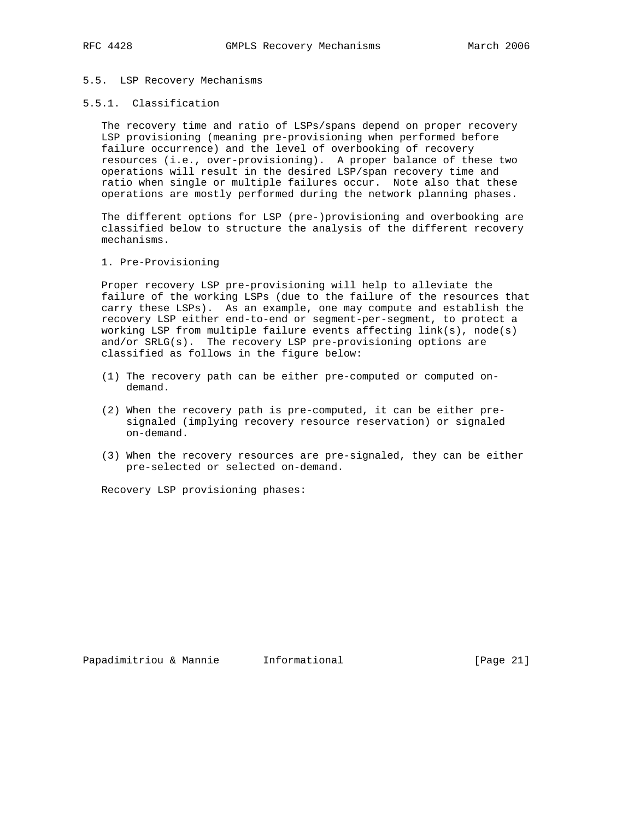## 5.5. LSP Recovery Mechanisms

## 5.5.1. Classification

 The recovery time and ratio of LSPs/spans depend on proper recovery LSP provisioning (meaning pre-provisioning when performed before failure occurrence) and the level of overbooking of recovery resources (i.e., over-provisioning). A proper balance of these two operations will result in the desired LSP/span recovery time and ratio when single or multiple failures occur. Note also that these operations are mostly performed during the network planning phases.

 The different options for LSP (pre-)provisioning and overbooking are classified below to structure the analysis of the different recovery mechanisms.

## 1. Pre-Provisioning

 Proper recovery LSP pre-provisioning will help to alleviate the failure of the working LSPs (due to the failure of the resources that carry these LSPs). As an example, one may compute and establish the recovery LSP either end-to-end or segment-per-segment, to protect a working LSP from multiple failure events affecting  $link(s)$ , node(s) and/or  $SRLG(s)$ . The recovery LSP pre-provisioning options are classified as follows in the figure below:

- (1) The recovery path can be either pre-computed or computed on demand.
- (2) When the recovery path is pre-computed, it can be either pre signaled (implying recovery resource reservation) or signaled on-demand.
- (3) When the recovery resources are pre-signaled, they can be either pre-selected or selected on-demand.

Recovery LSP provisioning phases: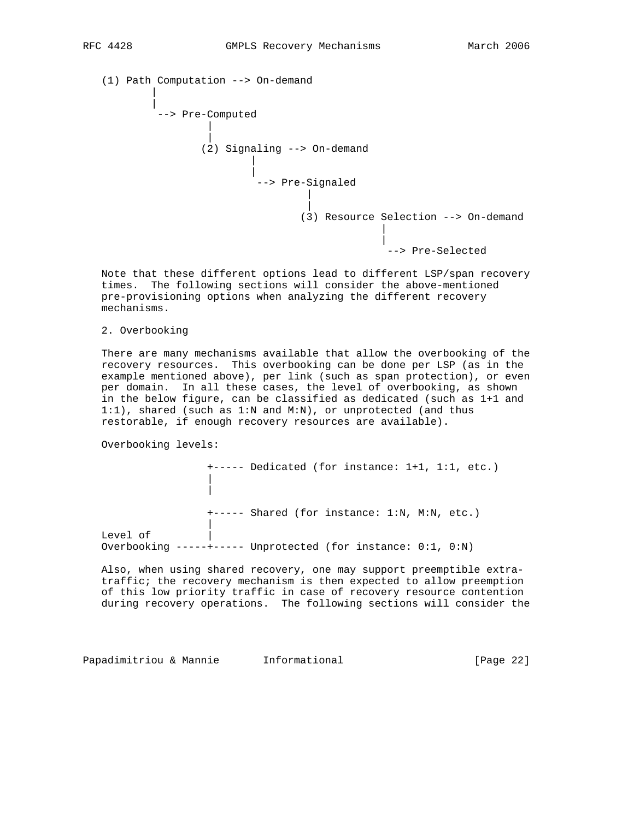(1) Path Computation --> On-demand | | --> Pre-Computed | | (2) Signaling --> On-demand | | --> Pre-Signaled | | (3) Resource Selection --> On-demand | | --> Pre-Selected

 Note that these different options lead to different LSP/span recovery times. The following sections will consider the above-mentioned pre-provisioning options when analyzing the different recovery mechanisms.

2. Overbooking

 There are many mechanisms available that allow the overbooking of the recovery resources. This overbooking can be done per LSP (as in the example mentioned above), per link (such as span protection), or even per domain. In all these cases, the level of overbooking, as shown in the below figure, can be classified as dedicated (such as 1+1 and 1:1), shared (such as 1:N and M:N), or unprotected (and thus restorable, if enough recovery resources are available).

Overbooking levels:

 | |

|

+----- Dedicated (for instance: 1+1, 1:1, etc.)

+----- Shared (for instance: 1:N, M:N, etc.)

Level of Overbooking -----+----- Unprotected (for instance: 0:1, 0:N)

 Also, when using shared recovery, one may support preemptible extra traffic; the recovery mechanism is then expected to allow preemption of this low priority traffic in case of recovery resource contention during recovery operations. The following sections will consider the

Papadimitriou & Mannie Informational [Page 22]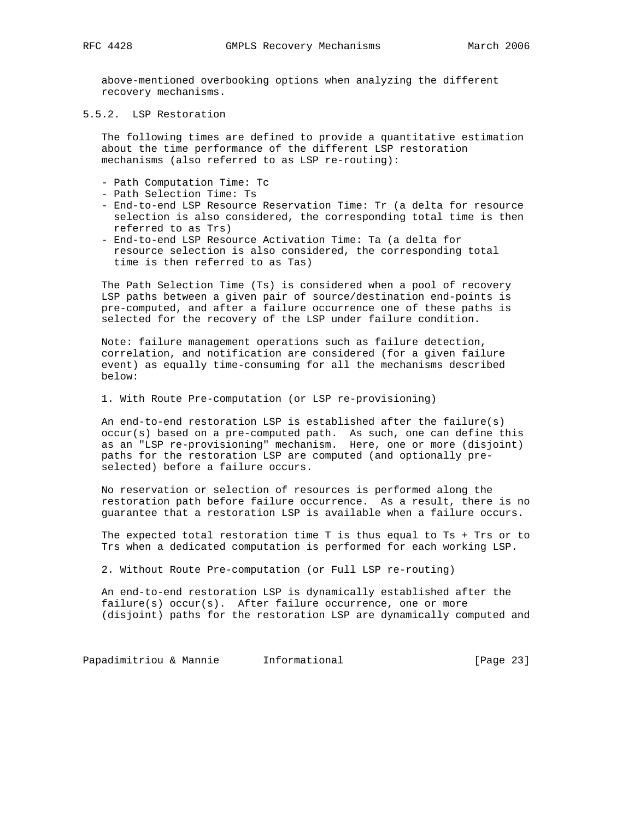above-mentioned overbooking options when analyzing the different recovery mechanisms.

5.5.2. LSP Restoration

 The following times are defined to provide a quantitative estimation about the time performance of the different LSP restoration mechanisms (also referred to as LSP re-routing):

- Path Computation Time: Tc
- Path Selection Time: Ts
- End-to-end LSP Resource Reservation Time: Tr (a delta for resource selection is also considered, the corresponding total time is then referred to as Trs)
- End-to-end LSP Resource Activation Time: Ta (a delta for resource selection is also considered, the corresponding total time is then referred to as Tas)

 The Path Selection Time (Ts) is considered when a pool of recovery LSP paths between a given pair of source/destination end-points is pre-computed, and after a failure occurrence one of these paths is selected for the recovery of the LSP under failure condition.

 Note: failure management operations such as failure detection, correlation, and notification are considered (for a given failure event) as equally time-consuming for all the mechanisms described below:

1. With Route Pre-computation (or LSP re-provisioning)

 An end-to-end restoration LSP is established after the failure(s) occur(s) based on a pre-computed path. As such, one can define this as an "LSP re-provisioning" mechanism. Here, one or more (disjoint) paths for the restoration LSP are computed (and optionally pre selected) before a failure occurs.

 No reservation or selection of resources is performed along the restoration path before failure occurrence. As a result, there is no guarantee that a restoration LSP is available when a failure occurs.

 The expected total restoration time T is thus equal to Ts + Trs or to Trs when a dedicated computation is performed for each working LSP.

2. Without Route Pre-computation (or Full LSP re-routing)

 An end-to-end restoration LSP is dynamically established after the failure(s) occur(s). After failure occurrence, one or more (disjoint) paths for the restoration LSP are dynamically computed and

Papadimitriou & Mannie 1nformational 1999 (Page 23)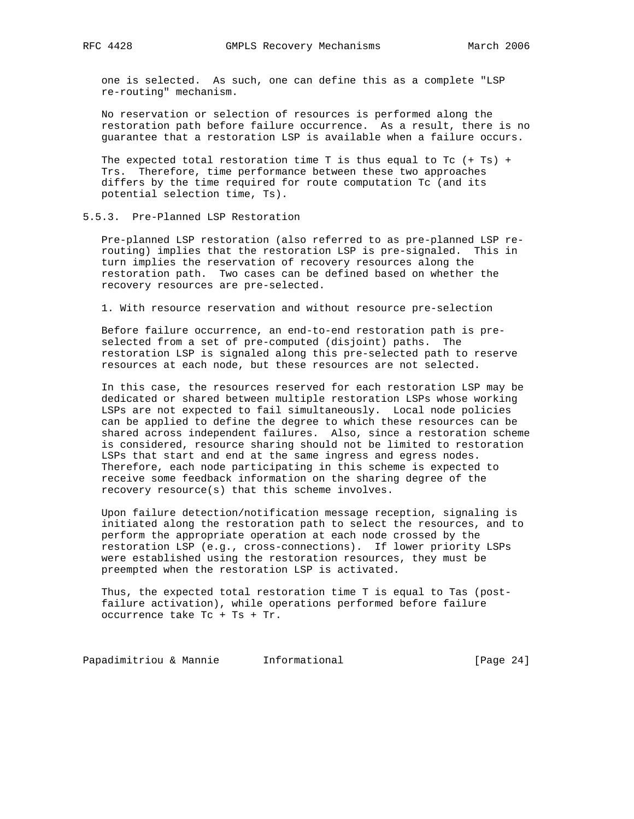one is selected. As such, one can define this as a complete "LSP re-routing" mechanism.

 No reservation or selection of resources is performed along the restoration path before failure occurrence. As a result, there is no guarantee that a restoration LSP is available when a failure occurs.

The expected total restoration time T is thus equal to Tc  $(+ \text{ Ts}) +$  Trs. Therefore, time performance between these two approaches differs by the time required for route computation Tc (and its potential selection time, Ts).

## 5.5.3. Pre-Planned LSP Restoration

 Pre-planned LSP restoration (also referred to as pre-planned LSP re routing) implies that the restoration LSP is pre-signaled. This in turn implies the reservation of recovery resources along the restoration path. Two cases can be defined based on whether the recovery resources are pre-selected.

1. With resource reservation and without resource pre-selection

 Before failure occurrence, an end-to-end restoration path is pre selected from a set of pre-computed (disjoint) paths. The restoration LSP is signaled along this pre-selected path to reserve resources at each node, but these resources are not selected.

 In this case, the resources reserved for each restoration LSP may be dedicated or shared between multiple restoration LSPs whose working LSPs are not expected to fail simultaneously. Local node policies can be applied to define the degree to which these resources can be shared across independent failures. Also, since a restoration scheme is considered, resource sharing should not be limited to restoration LSPs that start and end at the same ingress and egress nodes. Therefore, each node participating in this scheme is expected to receive some feedback information on the sharing degree of the recovery resource(s) that this scheme involves.

 Upon failure detection/notification message reception, signaling is initiated along the restoration path to select the resources, and to perform the appropriate operation at each node crossed by the restoration LSP (e.g., cross-connections). If lower priority LSPs were established using the restoration resources, they must be preempted when the restoration LSP is activated.

 Thus, the expected total restoration time T is equal to Tas (post failure activation), while operations performed before failure occurrence take Tc + Ts + Tr.

Papadimitriou & Mannie 1nformational 1999 (Page 24)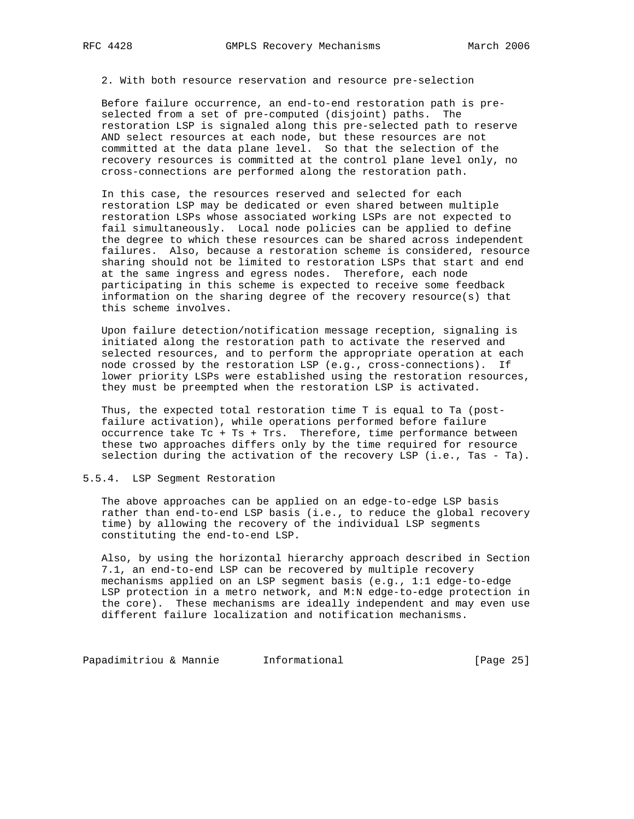2. With both resource reservation and resource pre-selection

 Before failure occurrence, an end-to-end restoration path is pre selected from a set of pre-computed (disjoint) paths. The restoration LSP is signaled along this pre-selected path to reserve AND select resources at each node, but these resources are not committed at the data plane level. So that the selection of the recovery resources is committed at the control plane level only, no cross-connections are performed along the restoration path.

 In this case, the resources reserved and selected for each restoration LSP may be dedicated or even shared between multiple restoration LSPs whose associated working LSPs are not expected to fail simultaneously. Local node policies can be applied to define the degree to which these resources can be shared across independent failures. Also, because a restoration scheme is considered, resource sharing should not be limited to restoration LSPs that start and end at the same ingress and egress nodes. Therefore, each node participating in this scheme is expected to receive some feedback information on the sharing degree of the recovery resource(s) that this scheme involves.

 Upon failure detection/notification message reception, signaling is initiated along the restoration path to activate the reserved and selected resources, and to perform the appropriate operation at each node crossed by the restoration LSP (e.g., cross-connections). If lower priority LSPs were established using the restoration resources, they must be preempted when the restoration LSP is activated.

 Thus, the expected total restoration time T is equal to Ta (post failure activation), while operations performed before failure occurrence take Tc + Ts + Trs. Therefore, time performance between these two approaches differs only by the time required for resource selection during the activation of the recovery LSP (i.e., Tas - Ta).

### 5.5.4. LSP Segment Restoration

 The above approaches can be applied on an edge-to-edge LSP basis rather than end-to-end LSP basis (i.e., to reduce the global recovery time) by allowing the recovery of the individual LSP segments constituting the end-to-end LSP.

 Also, by using the horizontal hierarchy approach described in Section 7.1, an end-to-end LSP can be recovered by multiple recovery mechanisms applied on an LSP segment basis (e.g., 1:1 edge-to-edge LSP protection in a metro network, and M:N edge-to-edge protection in the core). These mechanisms are ideally independent and may even use different failure localization and notification mechanisms.

Papadimitriou & Mannie 1nformational 1999 (Page 25)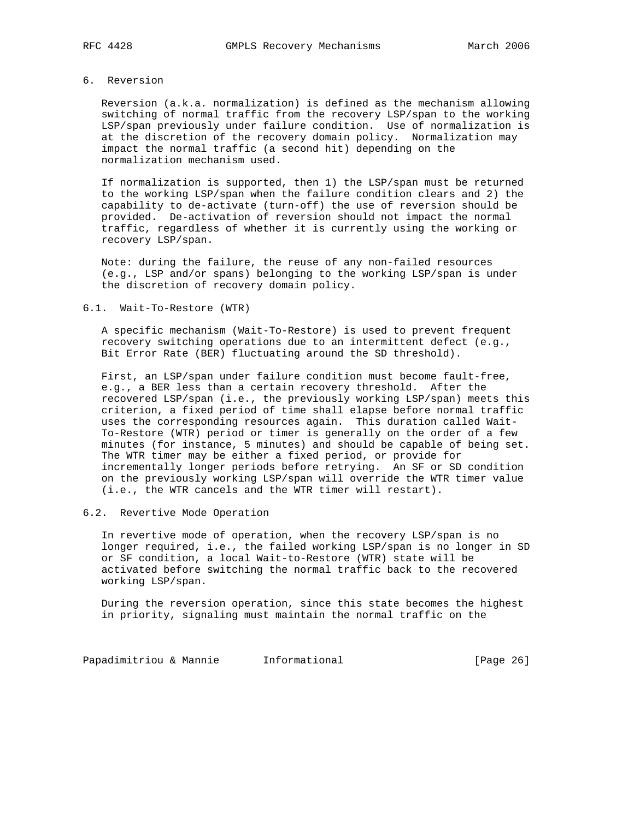## 6. Reversion

 Reversion (a.k.a. normalization) is defined as the mechanism allowing switching of normal traffic from the recovery LSP/span to the working LSP/span previously under failure condition. Use of normalization is at the discretion of the recovery domain policy. Normalization may impact the normal traffic (a second hit) depending on the normalization mechanism used.

 If normalization is supported, then 1) the LSP/span must be returned to the working LSP/span when the failure condition clears and 2) the capability to de-activate (turn-off) the use of reversion should be provided. De-activation of reversion should not impact the normal traffic, regardless of whether it is currently using the working or recovery LSP/span.

 Note: during the failure, the reuse of any non-failed resources (e.g., LSP and/or spans) belonging to the working LSP/span is under the discretion of recovery domain policy.

#### 6.1. Wait-To-Restore (WTR)

 A specific mechanism (Wait-To-Restore) is used to prevent frequent recovery switching operations due to an intermittent defect (e.g., Bit Error Rate (BER) fluctuating around the SD threshold).

 First, an LSP/span under failure condition must become fault-free, e.g., a BER less than a certain recovery threshold. After the recovered LSP/span (i.e., the previously working LSP/span) meets this criterion, a fixed period of time shall elapse before normal traffic uses the corresponding resources again. This duration called Wait- To-Restore (WTR) period or timer is generally on the order of a few minutes (for instance, 5 minutes) and should be capable of being set. The WTR timer may be either a fixed period, or provide for incrementally longer periods before retrying. An SF or SD condition on the previously working LSP/span will override the WTR timer value (i.e., the WTR cancels and the WTR timer will restart).

# 6.2. Revertive Mode Operation

 In revertive mode of operation, when the recovery LSP/span is no longer required, i.e., the failed working LSP/span is no longer in SD or SF condition, a local Wait-to-Restore (WTR) state will be activated before switching the normal traffic back to the recovered working LSP/span.

 During the reversion operation, since this state becomes the highest in priority, signaling must maintain the normal traffic on the

Papadimitriou & Mannie Informational (Page 26)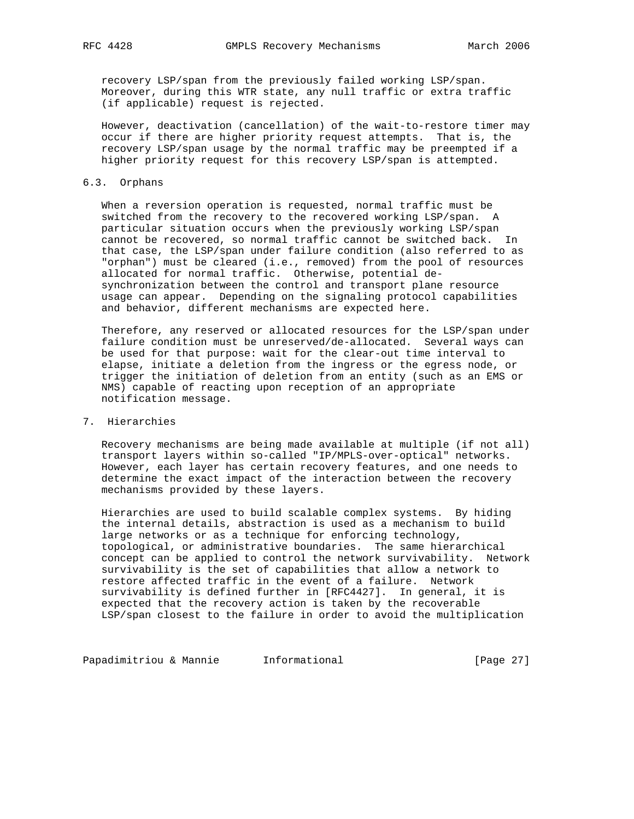recovery LSP/span from the previously failed working LSP/span. Moreover, during this WTR state, any null traffic or extra traffic (if applicable) request is rejected.

 However, deactivation (cancellation) of the wait-to-restore timer may occur if there are higher priority request attempts. That is, the recovery LSP/span usage by the normal traffic may be preempted if a higher priority request for this recovery LSP/span is attempted.

## 6.3. Orphans

 When a reversion operation is requested, normal traffic must be switched from the recovery to the recovered working LSP/span. A particular situation occurs when the previously working LSP/span cannot be recovered, so normal traffic cannot be switched back. In that case, the LSP/span under failure condition (also referred to as "orphan") must be cleared (i.e., removed) from the pool of resources allocated for normal traffic. Otherwise, potential de synchronization between the control and transport plane resource usage can appear. Depending on the signaling protocol capabilities and behavior, different mechanisms are expected here.

 Therefore, any reserved or allocated resources for the LSP/span under failure condition must be unreserved/de-allocated. Several ways can be used for that purpose: wait for the clear-out time interval to elapse, initiate a deletion from the ingress or the egress node, or trigger the initiation of deletion from an entity (such as an EMS or NMS) capable of reacting upon reception of an appropriate notification message.

# 7. Hierarchies

 Recovery mechanisms are being made available at multiple (if not all) transport layers within so-called "IP/MPLS-over-optical" networks. However, each layer has certain recovery features, and one needs to determine the exact impact of the interaction between the recovery mechanisms provided by these layers.

 Hierarchies are used to build scalable complex systems. By hiding the internal details, abstraction is used as a mechanism to build large networks or as a technique for enforcing technology, topological, or administrative boundaries. The same hierarchical concept can be applied to control the network survivability. Network survivability is the set of capabilities that allow a network to restore affected traffic in the event of a failure. Network survivability is defined further in [RFC4427]. In general, it is expected that the recovery action is taken by the recoverable LSP/span closest to the failure in order to avoid the multiplication

Papadimitriou & Mannie 1nformational 1999 (Page 27)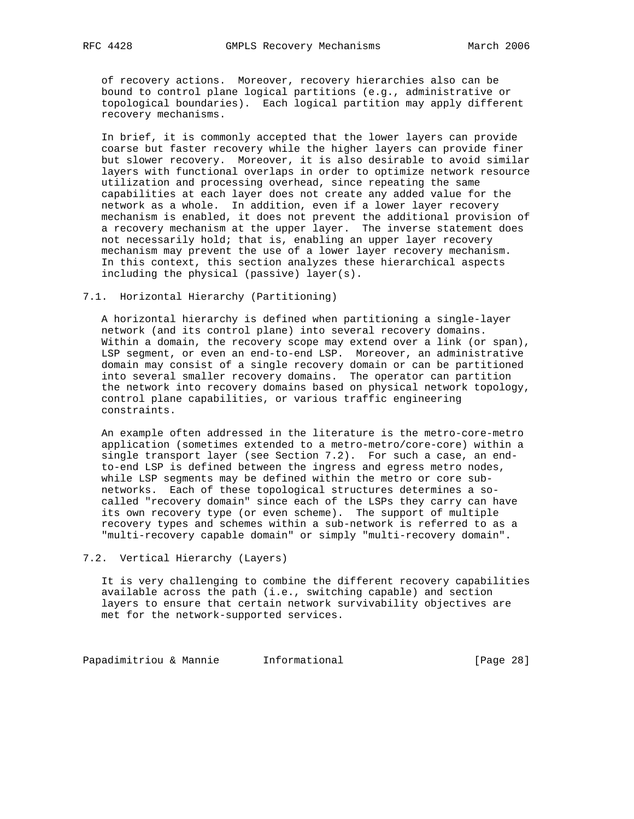of recovery actions. Moreover, recovery hierarchies also can be bound to control plane logical partitions (e.g., administrative or topological boundaries). Each logical partition may apply different recovery mechanisms.

 In brief, it is commonly accepted that the lower layers can provide coarse but faster recovery while the higher layers can provide finer but slower recovery. Moreover, it is also desirable to avoid similar layers with functional overlaps in order to optimize network resource utilization and processing overhead, since repeating the same capabilities at each layer does not create any added value for the network as a whole. In addition, even if a lower layer recovery mechanism is enabled, it does not prevent the additional provision of a recovery mechanism at the upper layer. The inverse statement does not necessarily hold; that is, enabling an upper layer recovery mechanism may prevent the use of a lower layer recovery mechanism. In this context, this section analyzes these hierarchical aspects including the physical (passive) layer(s).

#### 7.1. Horizontal Hierarchy (Partitioning)

 A horizontal hierarchy is defined when partitioning a single-layer network (and its control plane) into several recovery domains. Within a domain, the recovery scope may extend over a link (or span), LSP segment, or even an end-to-end LSP. Moreover, an administrative domain may consist of a single recovery domain or can be partitioned into several smaller recovery domains. The operator can partition the network into recovery domains based on physical network topology, control plane capabilities, or various traffic engineering constraints.

 An example often addressed in the literature is the metro-core-metro application (sometimes extended to a metro-metro/core-core) within a single transport layer (see Section 7.2). For such a case, an end to-end LSP is defined between the ingress and egress metro nodes, while LSP segments may be defined within the metro or core sub networks. Each of these topological structures determines a so called "recovery domain" since each of the LSPs they carry can have its own recovery type (or even scheme). The support of multiple recovery types and schemes within a sub-network is referred to as a "multi-recovery capable domain" or simply "multi-recovery domain".

7.2. Vertical Hierarchy (Layers)

 It is very challenging to combine the different recovery capabilities available across the path (i.e., switching capable) and section layers to ensure that certain network survivability objectives are met for the network-supported services.

Papadimitriou & Mannie Informational (Page 28)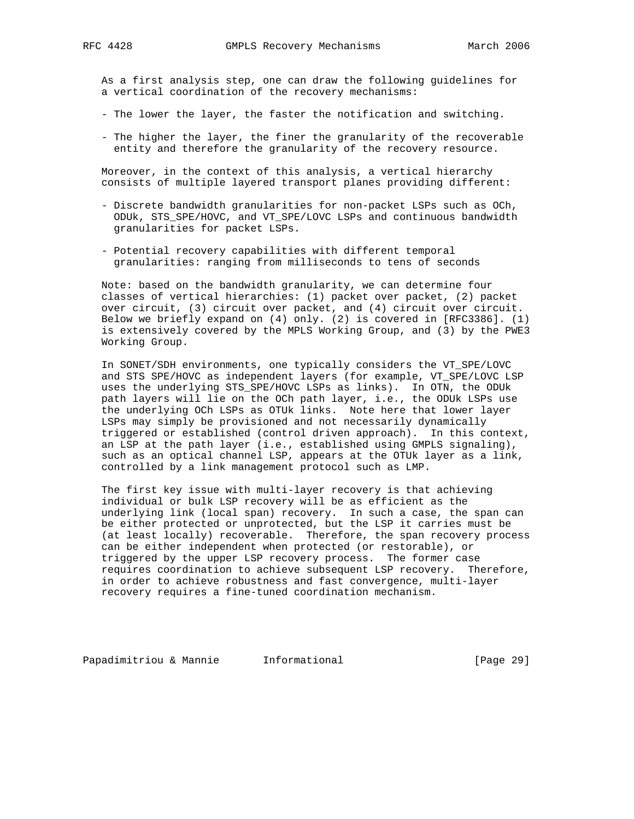As a first analysis step, one can draw the following guidelines for a vertical coordination of the recovery mechanisms:

- The lower the layer, the faster the notification and switching.
- The higher the layer, the finer the granularity of the recoverable entity and therefore the granularity of the recovery resource.

 Moreover, in the context of this analysis, a vertical hierarchy consists of multiple layered transport planes providing different:

- Discrete bandwidth granularities for non-packet LSPs such as OCh, ODUk, STS\_SPE/HOVC, and VT\_SPE/LOVC LSPs and continuous bandwidth granularities for packet LSPs.
- Potential recovery capabilities with different temporal granularities: ranging from milliseconds to tens of seconds

 Note: based on the bandwidth granularity, we can determine four classes of vertical hierarchies: (1) packet over packet, (2) packet over circuit, (3) circuit over packet, and (4) circuit over circuit. Below we briefly expand on (4) only. (2) is covered in [RFC3386]. (1) is extensively covered by the MPLS Working Group, and (3) by the PWE3 Working Group.

 In SONET/SDH environments, one typically considers the VT\_SPE/LOVC and STS SPE/HOVC as independent layers (for example, VT\_SPE/LOVC LSP uses the underlying STS\_SPE/HOVC LSPs as links). In OTN, the ODUk path layers will lie on the OCh path layer, i.e., the ODUk LSPs use the underlying OCh LSPs as OTUk links. Note here that lower layer LSPs may simply be provisioned and not necessarily dynamically triggered or established (control driven approach). In this context, an LSP at the path layer (i.e., established using GMPLS signaling), such as an optical channel LSP, appears at the OTUk layer as a link, controlled by a link management protocol such as LMP.

 The first key issue with multi-layer recovery is that achieving individual or bulk LSP recovery will be as efficient as the underlying link (local span) recovery. In such a case, the span can be either protected or unprotected, but the LSP it carries must be (at least locally) recoverable. Therefore, the span recovery process can be either independent when protected (or restorable), or triggered by the upper LSP recovery process. The former case requires coordination to achieve subsequent LSP recovery. Therefore, in order to achieve robustness and fast convergence, multi-layer recovery requires a fine-tuned coordination mechanism.

Papadimitriou & Mannie Informational [Page 29]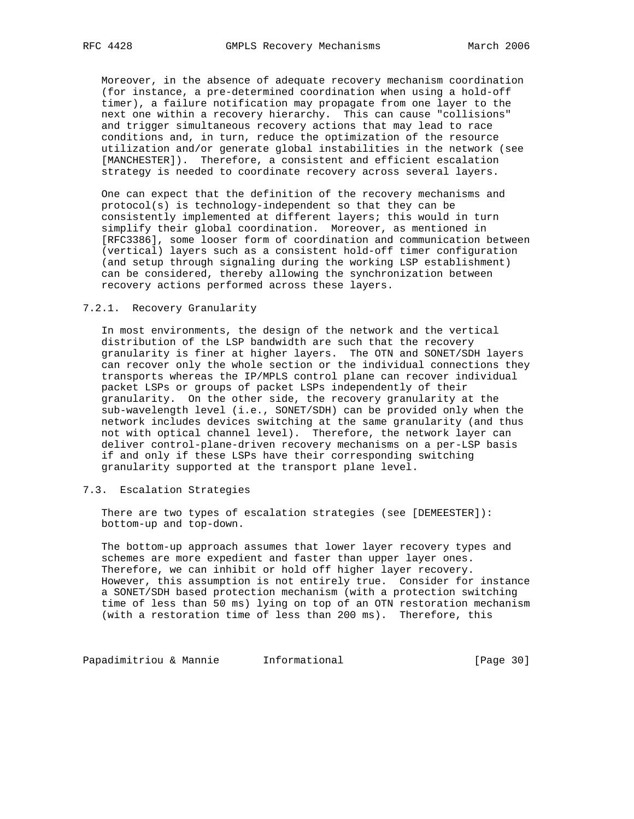Moreover, in the absence of adequate recovery mechanism coordination (for instance, a pre-determined coordination when using a hold-off timer), a failure notification may propagate from one layer to the next one within a recovery hierarchy. This can cause "collisions" and trigger simultaneous recovery actions that may lead to race conditions and, in turn, reduce the optimization of the resource utilization and/or generate global instabilities in the network (see [MANCHESTER]). Therefore, a consistent and efficient escalation strategy is needed to coordinate recovery across several layers.

 One can expect that the definition of the recovery mechanisms and protocol(s) is technology-independent so that they can be consistently implemented at different layers; this would in turn simplify their global coordination. Moreover, as mentioned in [RFC3386], some looser form of coordination and communication between (vertical) layers such as a consistent hold-off timer configuration (and setup through signaling during the working LSP establishment) can be considered, thereby allowing the synchronization between recovery actions performed across these layers.

#### 7.2.1. Recovery Granularity

 In most environments, the design of the network and the vertical distribution of the LSP bandwidth are such that the recovery granularity is finer at higher layers. The OTN and SONET/SDH layers can recover only the whole section or the individual connections they transports whereas the IP/MPLS control plane can recover individual packet LSPs or groups of packet LSPs independently of their granularity. On the other side, the recovery granularity at the sub-wavelength level (i.e., SONET/SDH) can be provided only when the network includes devices switching at the same granularity (and thus not with optical channel level). Therefore, the network layer can deliver control-plane-driven recovery mechanisms on a per-LSP basis if and only if these LSPs have their corresponding switching granularity supported at the transport plane level.

### 7.3. Escalation Strategies

 There are two types of escalation strategies (see [DEMEESTER]): bottom-up and top-down.

 The bottom-up approach assumes that lower layer recovery types and schemes are more expedient and faster than upper layer ones. Therefore, we can inhibit or hold off higher layer recovery. However, this assumption is not entirely true. Consider for instance a SONET/SDH based protection mechanism (with a protection switching time of less than 50 ms) lying on top of an OTN restoration mechanism (with a restoration time of less than 200 ms). Therefore, this

Papadimitriou & Mannie Informational (Page 30)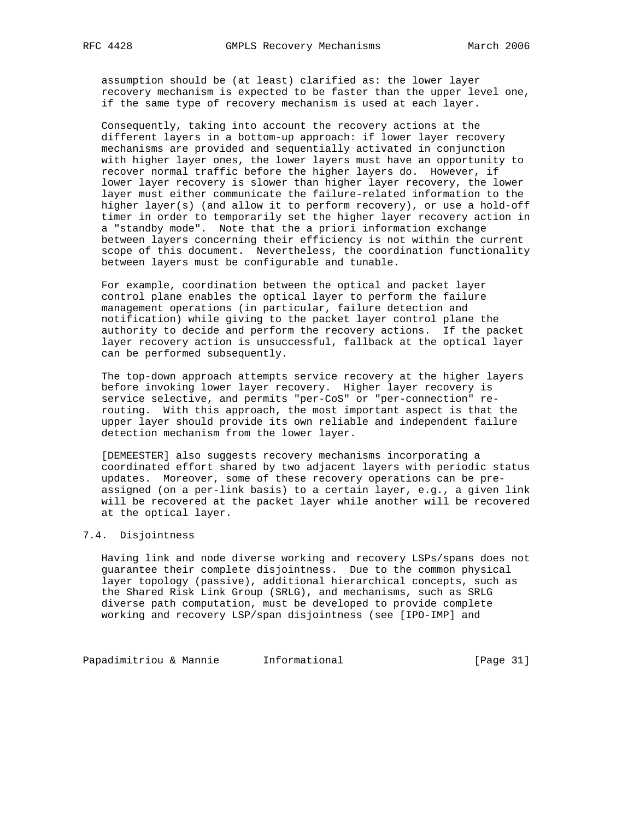assumption should be (at least) clarified as: the lower layer recovery mechanism is expected to be faster than the upper level one, if the same type of recovery mechanism is used at each layer.

 Consequently, taking into account the recovery actions at the different layers in a bottom-up approach: if lower layer recovery mechanisms are provided and sequentially activated in conjunction with higher layer ones, the lower layers must have an opportunity to recover normal traffic before the higher layers do. However, if lower layer recovery is slower than higher layer recovery, the lower layer must either communicate the failure-related information to the higher layer(s) (and allow it to perform recovery), or use a hold-off timer in order to temporarily set the higher layer recovery action in a "standby mode". Note that the a priori information exchange between layers concerning their efficiency is not within the current scope of this document. Nevertheless, the coordination functionality between layers must be configurable and tunable.

 For example, coordination between the optical and packet layer control plane enables the optical layer to perform the failure management operations (in particular, failure detection and notification) while giving to the packet layer control plane the authority to decide and perform the recovery actions. If the packet layer recovery action is unsuccessful, fallback at the optical layer can be performed subsequently.

 The top-down approach attempts service recovery at the higher layers before invoking lower layer recovery. Higher layer recovery is service selective, and permits "per-CoS" or "per-connection" re routing. With this approach, the most important aspect is that the upper layer should provide its own reliable and independent failure detection mechanism from the lower layer.

 [DEMEESTER] also suggests recovery mechanisms incorporating a coordinated effort shared by two adjacent layers with periodic status updates. Moreover, some of these recovery operations can be pre assigned (on a per-link basis) to a certain layer, e.g., a given link will be recovered at the packet layer while another will be recovered at the optical layer.

## 7.4. Disjointness

 Having link and node diverse working and recovery LSPs/spans does not guarantee their complete disjointness. Due to the common physical layer topology (passive), additional hierarchical concepts, such as the Shared Risk Link Group (SRLG), and mechanisms, such as SRLG diverse path computation, must be developed to provide complete working and recovery LSP/span disjointness (see [IPO-IMP] and

Papadimitriou & Mannie 1nformational 1999 (Page 31)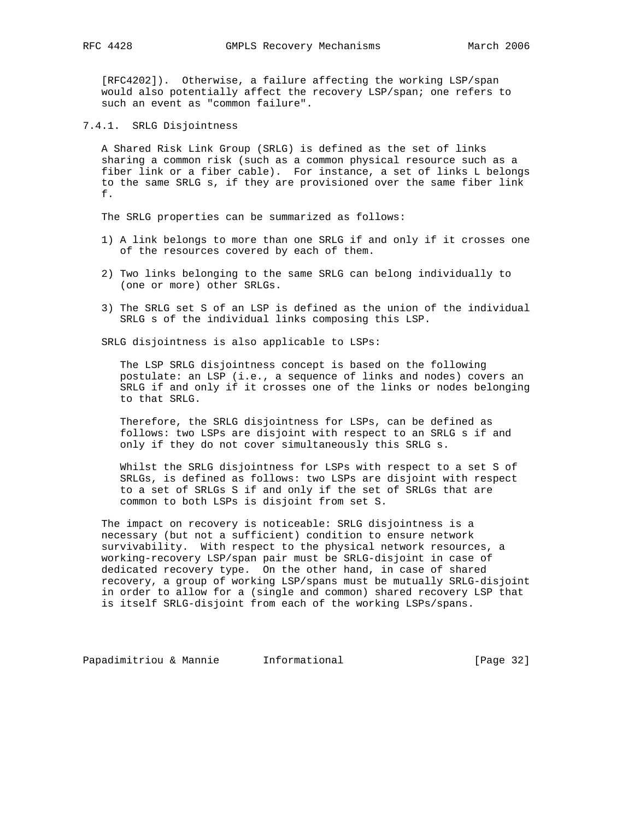[RFC4202]). Otherwise, a failure affecting the working LSP/span would also potentially affect the recovery LSP/span; one refers to such an event as "common failure".

7.4.1. SRLG Disjointness

 A Shared Risk Link Group (SRLG) is defined as the set of links sharing a common risk (such as a common physical resource such as a fiber link or a fiber cable). For instance, a set of links L belongs to the same SRLG s, if they are provisioned over the same fiber link f.

The SRLG properties can be summarized as follows:

- 1) A link belongs to more than one SRLG if and only if it crosses one of the resources covered by each of them.
- 2) Two links belonging to the same SRLG can belong individually to (one or more) other SRLGs.
- 3) The SRLG set S of an LSP is defined as the union of the individual SRLG s of the individual links composing this LSP.

SRLG disjointness is also applicable to LSPs:

 The LSP SRLG disjointness concept is based on the following postulate: an LSP (i.e., a sequence of links and nodes) covers an SRLG if and only if it crosses one of the links or nodes belonging to that SRLG.

 Therefore, the SRLG disjointness for LSPs, can be defined as follows: two LSPs are disjoint with respect to an SRLG s if and only if they do not cover simultaneously this SRLG s.

 Whilst the SRLG disjointness for LSPs with respect to a set S of SRLGs, is defined as follows: two LSPs are disjoint with respect to a set of SRLGs S if and only if the set of SRLGs that are common to both LSPs is disjoint from set S.

 The impact on recovery is noticeable: SRLG disjointness is a necessary (but not a sufficient) condition to ensure network survivability. With respect to the physical network resources, a working-recovery LSP/span pair must be SRLG-disjoint in case of dedicated recovery type. On the other hand, in case of shared recovery, a group of working LSP/spans must be mutually SRLG-disjoint in order to allow for a (single and common) shared recovery LSP that is itself SRLG-disjoint from each of the working LSPs/spans.

Papadimitriou & Mannie 1nformational 1999 [Page 32]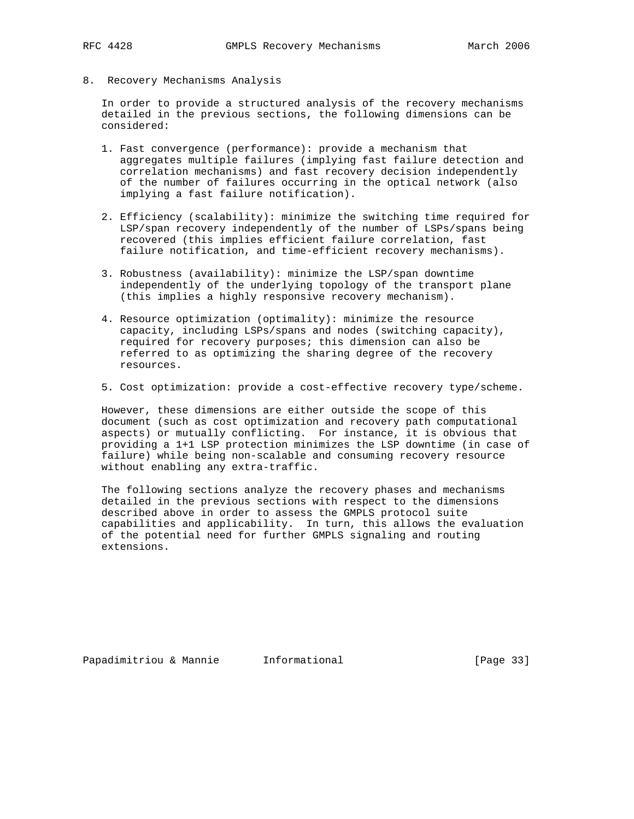8. Recovery Mechanisms Analysis

 In order to provide a structured analysis of the recovery mechanisms detailed in the previous sections, the following dimensions can be considered:

- 1. Fast convergence (performance): provide a mechanism that aggregates multiple failures (implying fast failure detection and correlation mechanisms) and fast recovery decision independently of the number of failures occurring in the optical network (also implying a fast failure notification).
- 2. Efficiency (scalability): minimize the switching time required for LSP/span recovery independently of the number of LSPs/spans being recovered (this implies efficient failure correlation, fast failure notification, and time-efficient recovery mechanisms).
- 3. Robustness (availability): minimize the LSP/span downtime independently of the underlying topology of the transport plane (this implies a highly responsive recovery mechanism).
- 4. Resource optimization (optimality): minimize the resource capacity, including LSPs/spans and nodes (switching capacity), required for recovery purposes; this dimension can also be referred to as optimizing the sharing degree of the recovery resources.
- 5. Cost optimization: provide a cost-effective recovery type/scheme.

 However, these dimensions are either outside the scope of this document (such as cost optimization and recovery path computational aspects) or mutually conflicting. For instance, it is obvious that providing a 1+1 LSP protection minimizes the LSP downtime (in case of failure) while being non-scalable and consuming recovery resource without enabling any extra-traffic.

 The following sections analyze the recovery phases and mechanisms detailed in the previous sections with respect to the dimensions described above in order to assess the GMPLS protocol suite capabilities and applicability. In turn, this allows the evaluation of the potential need for further GMPLS signaling and routing extensions.

Papadimitriou & Mannie Informational [Page 33]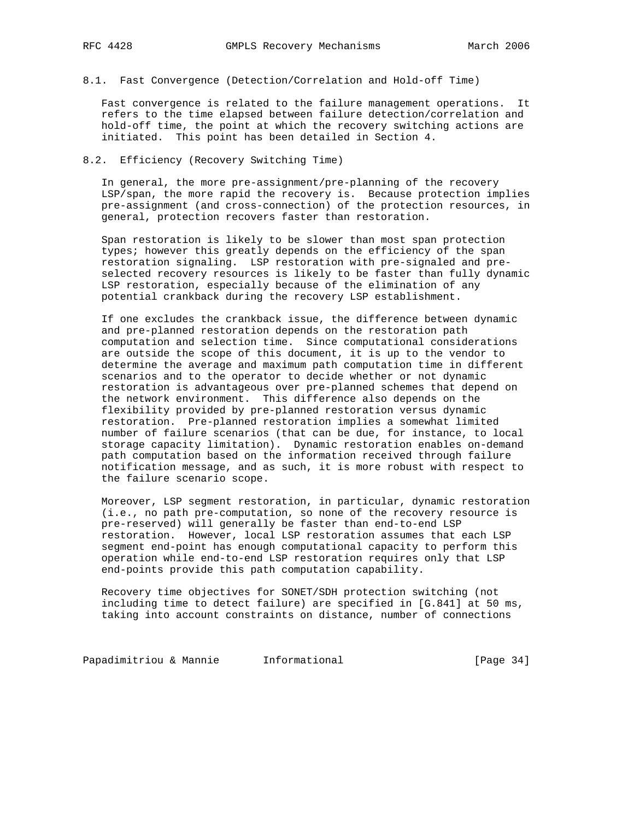8.1. Fast Convergence (Detection/Correlation and Hold-off Time)

 Fast convergence is related to the failure management operations. It refers to the time elapsed between failure detection/correlation and hold-off time, the point at which the recovery switching actions are initiated. This point has been detailed in Section 4.

## 8.2. Efficiency (Recovery Switching Time)

 In general, the more pre-assignment/pre-planning of the recovery LSP/span, the more rapid the recovery is. Because protection implies pre-assignment (and cross-connection) of the protection resources, in general, protection recovers faster than restoration.

 Span restoration is likely to be slower than most span protection types; however this greatly depends on the efficiency of the span restoration signaling. LSP restoration with pre-signaled and pre selected recovery resources is likely to be faster than fully dynamic LSP restoration, especially because of the elimination of any potential crankback during the recovery LSP establishment.

 If one excludes the crankback issue, the difference between dynamic and pre-planned restoration depends on the restoration path computation and selection time. Since computational considerations are outside the scope of this document, it is up to the vendor to determine the average and maximum path computation time in different scenarios and to the operator to decide whether or not dynamic restoration is advantageous over pre-planned schemes that depend on the network environment. This difference also depends on the flexibility provided by pre-planned restoration versus dynamic restoration. Pre-planned restoration implies a somewhat limited number of failure scenarios (that can be due, for instance, to local storage capacity limitation). Dynamic restoration enables on-demand path computation based on the information received through failure notification message, and as such, it is more robust with respect to the failure scenario scope.

 Moreover, LSP segment restoration, in particular, dynamic restoration (i.e., no path pre-computation, so none of the recovery resource is pre-reserved) will generally be faster than end-to-end LSP restoration. However, local LSP restoration assumes that each LSP segment end-point has enough computational capacity to perform this operation while end-to-end LSP restoration requires only that LSP end-points provide this path computation capability.

 Recovery time objectives for SONET/SDH protection switching (not including time to detect failure) are specified in [G.841] at 50 ms, taking into account constraints on distance, number of connections

Papadimitriou & Mannie 1nformational 1999 (Page 34)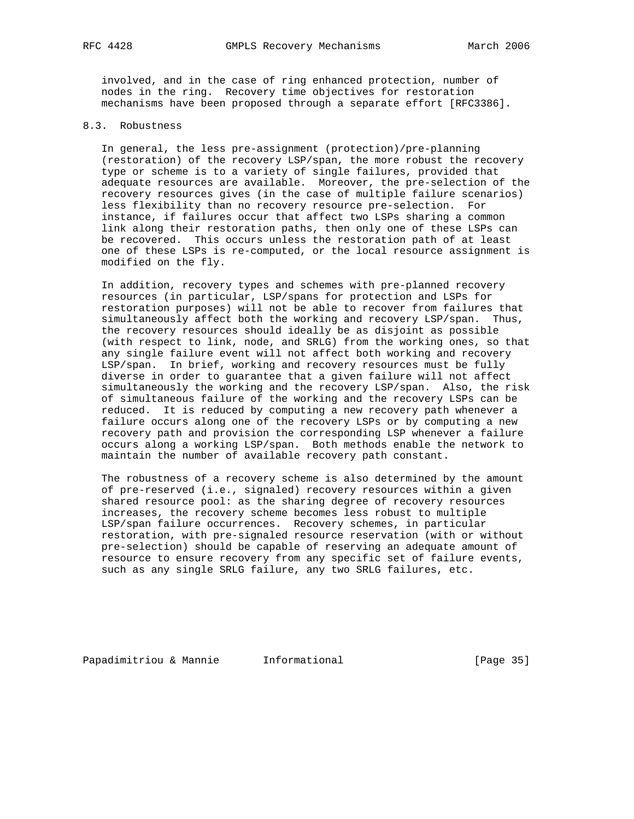involved, and in the case of ring enhanced protection, number of nodes in the ring. Recovery time objectives for restoration mechanisms have been proposed through a separate effort [RFC3386].

## 8.3. Robustness

 In general, the less pre-assignment (protection)/pre-planning (restoration) of the recovery LSP/span, the more robust the recovery type or scheme is to a variety of single failures, provided that adequate resources are available. Moreover, the pre-selection of the recovery resources gives (in the case of multiple failure scenarios) less flexibility than no recovery resource pre-selection. For instance, if failures occur that affect two LSPs sharing a common link along their restoration paths, then only one of these LSPs can be recovered. This occurs unless the restoration path of at least one of these LSPs is re-computed, or the local resource assignment is modified on the fly.

 In addition, recovery types and schemes with pre-planned recovery resources (in particular, LSP/spans for protection and LSPs for restoration purposes) will not be able to recover from failures that simultaneously affect both the working and recovery LSP/span. Thus, the recovery resources should ideally be as disjoint as possible (with respect to link, node, and SRLG) from the working ones, so that any single failure event will not affect both working and recovery LSP/span. In brief, working and recovery resources must be fully diverse in order to guarantee that a given failure will not affect simultaneously the working and the recovery LSP/span. Also, the risk of simultaneous failure of the working and the recovery LSPs can be reduced. It is reduced by computing a new recovery path whenever a failure occurs along one of the recovery LSPs or by computing a new recovery path and provision the corresponding LSP whenever a failure occurs along a working LSP/span. Both methods enable the network to maintain the number of available recovery path constant.

 The robustness of a recovery scheme is also determined by the amount of pre-reserved (i.e., signaled) recovery resources within a given shared resource pool: as the sharing degree of recovery resources increases, the recovery scheme becomes less robust to multiple LSP/span failure occurrences. Recovery schemes, in particular restoration, with pre-signaled resource reservation (with or without pre-selection) should be capable of reserving an adequate amount of resource to ensure recovery from any specific set of failure events, such as any single SRLG failure, any two SRLG failures, etc.

Papadimitriou & Mannie Informational [Page 35]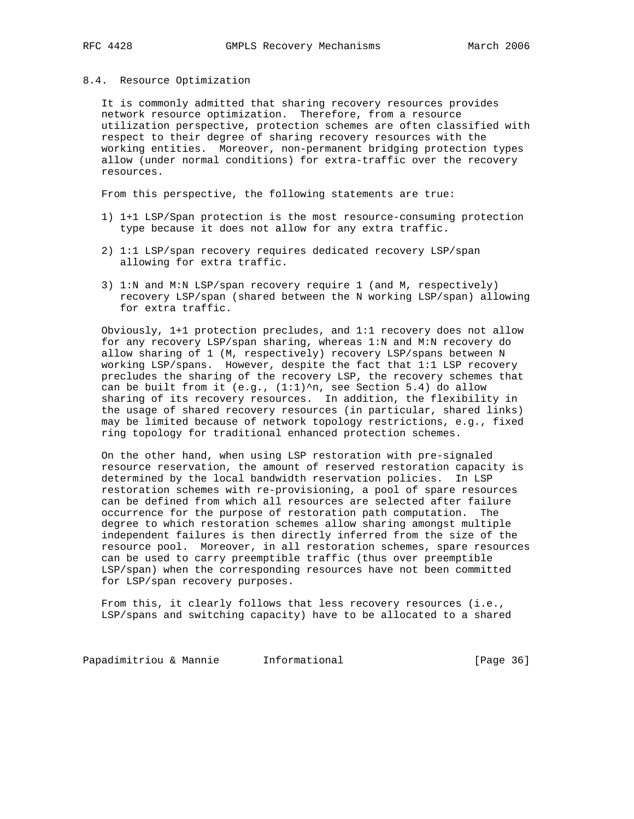### 8.4. Resource Optimization

 It is commonly admitted that sharing recovery resources provides network resource optimization. Therefore, from a resource utilization perspective, protection schemes are often classified with respect to their degree of sharing recovery resources with the working entities. Moreover, non-permanent bridging protection types allow (under normal conditions) for extra-traffic over the recovery resources.

From this perspective, the following statements are true:

- 1) 1+1 LSP/Span protection is the most resource-consuming protection type because it does not allow for any extra traffic.
- 2) 1:1 LSP/span recovery requires dedicated recovery LSP/span allowing for extra traffic.
- 3) 1:N and M:N LSP/span recovery require 1 (and M, respectively) recovery LSP/span (shared between the N working LSP/span) allowing for extra traffic.

 Obviously, 1+1 protection precludes, and 1:1 recovery does not allow for any recovery LSP/span sharing, whereas 1:N and M:N recovery do allow sharing of 1 (M, respectively) recovery LSP/spans between N working LSP/spans. However, despite the fact that 1:1 LSP recovery precludes the sharing of the recovery LSP, the recovery schemes that can be built from it (e.g., (1:1)^n, see Section 5.4) do allow sharing of its recovery resources. In addition, the flexibility in the usage of shared recovery resources (in particular, shared links) may be limited because of network topology restrictions, e.g., fixed ring topology for traditional enhanced protection schemes.

 On the other hand, when using LSP restoration with pre-signaled resource reservation, the amount of reserved restoration capacity is determined by the local bandwidth reservation policies. In LSP restoration schemes with re-provisioning, a pool of spare resources can be defined from which all resources are selected after failure occurrence for the purpose of restoration path computation. The degree to which restoration schemes allow sharing amongst multiple independent failures is then directly inferred from the size of the resource pool. Moreover, in all restoration schemes, spare resources can be used to carry preemptible traffic (thus over preemptible LSP/span) when the corresponding resources have not been committed for LSP/span recovery purposes.

 From this, it clearly follows that less recovery resources (i.e., LSP/spans and switching capacity) have to be allocated to a shared

Papadimitriou & Mannie 1nformational 1999 (Page 36)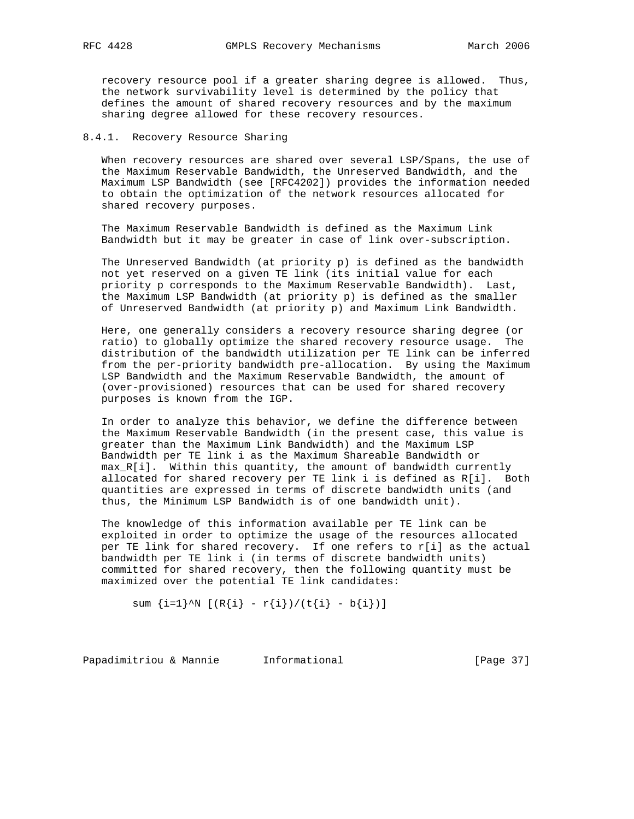recovery resource pool if a greater sharing degree is allowed. Thus, the network survivability level is determined by the policy that defines the amount of shared recovery resources and by the maximum sharing degree allowed for these recovery resources.

## 8.4.1. Recovery Resource Sharing

 When recovery resources are shared over several LSP/Spans, the use of the Maximum Reservable Bandwidth, the Unreserved Bandwidth, and the Maximum LSP Bandwidth (see [RFC4202]) provides the information needed to obtain the optimization of the network resources allocated for shared recovery purposes.

 The Maximum Reservable Bandwidth is defined as the Maximum Link Bandwidth but it may be greater in case of link over-subscription.

 The Unreserved Bandwidth (at priority p) is defined as the bandwidth not yet reserved on a given TE link (its initial value for each priority p corresponds to the Maximum Reservable Bandwidth). Last, the Maximum LSP Bandwidth (at priority p) is defined as the smaller of Unreserved Bandwidth (at priority p) and Maximum Link Bandwidth.

 Here, one generally considers a recovery resource sharing degree (or ratio) to globally optimize the shared recovery resource usage. The distribution of the bandwidth utilization per TE link can be inferred from the per-priority bandwidth pre-allocation. By using the Maximum LSP Bandwidth and the Maximum Reservable Bandwidth, the amount of (over-provisioned) resources that can be used for shared recovery purposes is known from the IGP.

 In order to analyze this behavior, we define the difference between the Maximum Reservable Bandwidth (in the present case, this value is greater than the Maximum Link Bandwidth) and the Maximum LSP Bandwidth per TE link i as the Maximum Shareable Bandwidth or max\_R[i]. Within this quantity, the amount of bandwidth currently allocated for shared recovery per TE link i is defined as R[i]. Both quantities are expressed in terms of discrete bandwidth units (and thus, the Minimum LSP Bandwidth is of one bandwidth unit).

 The knowledge of this information available per TE link can be exploited in order to optimize the usage of the resources allocated per TE link for shared recovery. If one refers to r[i] as the actual bandwidth per TE link i (in terms of discrete bandwidth units) committed for shared recovery, then the following quantity must be maximized over the potential TE link candidates:

sum  $\{i=1\}^N$   $[(R{i} - r{i})/(t{i} - b{i})]$ 

Papadimitriou & Mannie 1nformational 1999 [Page 37]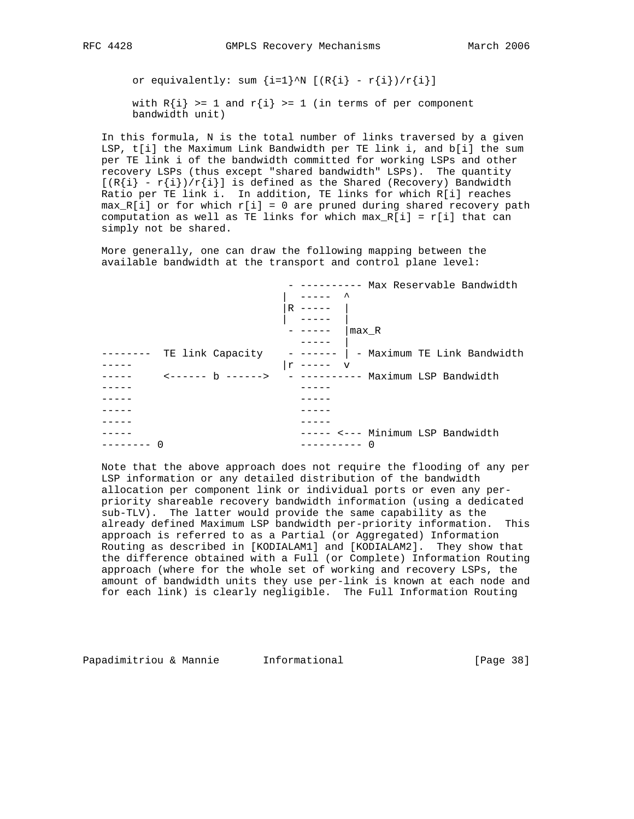or equivalently: sum  $\{i=1\}^N$  [(R $\{i\}$  - r $\{i\})/r\{i\}$ ]

with  $R{i} > = 1$  and  $r{i} > = 1$  (in terms of per component bandwidth unit)

 In this formula, N is the total number of links traversed by a given LSP, t[i] the Maximum Link Bandwidth per TE link i, and b[i] the sum per TE link i of the bandwidth committed for working LSPs and other recovery LSPs (thus except "shared bandwidth" LSPs). The quantity  $[(R{i} - r{i})/r{i}]$  is defined as the Shared (Recovery) Bandwidth Ratio per TE link i. In addition, TE links for which R[i] reaches  $max_R[i]$  or for which  $r[i] = 0$  are pruned during shared recovery path computation as well as TE links for which  $max_R[i] = r[i]$  that can simply not be shared.

 More generally, one can draw the following mapping between the available bandwidth at the transport and control plane level:

| - ---------- Max Reservable Bandwidth                   |
|---------------------------------------------------------|
|                                                         |
| $R$ -----                                               |
|                                                         |
| max R                                                   |
|                                                         |
| TE link Capacity - ------   - Maximum TE Link Bandwidth |
| $ r$ ----- v                                            |
| <------ b ------> - ---------- Maximum LSP Bandwidth    |
|                                                         |
|                                                         |
|                                                         |
|                                                         |
| ----- <--- Minimum LSP Bandwidth                        |
| ∩<br>----------                                         |

 Note that the above approach does not require the flooding of any per LSP information or any detailed distribution of the bandwidth allocation per component link or individual ports or even any per priority shareable recovery bandwidth information (using a dedicated sub-TLV). The latter would provide the same capability as the already defined Maximum LSP bandwidth per-priority information. This approach is referred to as a Partial (or Aggregated) Information Routing as described in [KODIALAM1] and [KODIALAM2]. They show that the difference obtained with a Full (or Complete) Information Routing approach (where for the whole set of working and recovery LSPs, the amount of bandwidth units they use per-link is known at each node and for each link) is clearly negligible. The Full Information Routing

Papadimitriou & Mannie Informational [Page 38]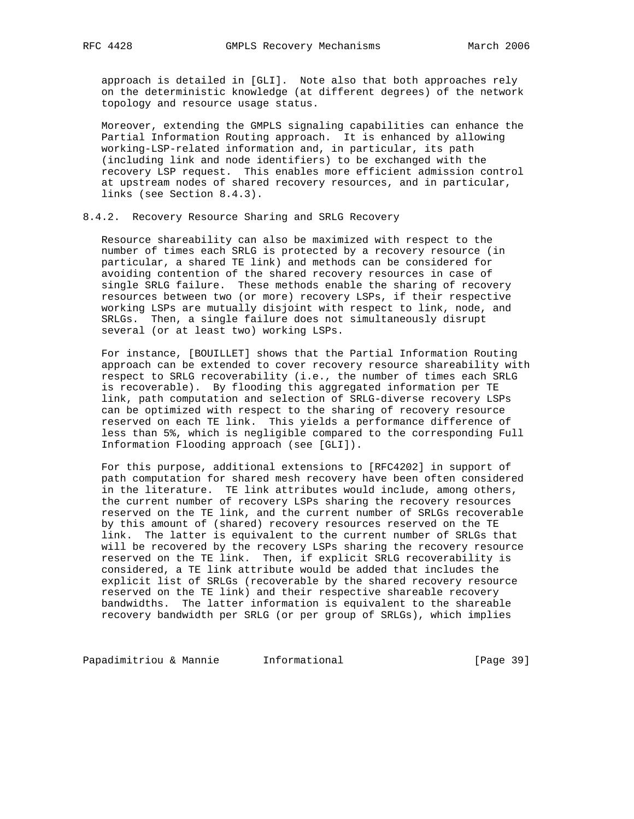approach is detailed in [GLI]. Note also that both approaches rely on the deterministic knowledge (at different degrees) of the network topology and resource usage status.

 Moreover, extending the GMPLS signaling capabilities can enhance the Partial Information Routing approach. It is enhanced by allowing working-LSP-related information and, in particular, its path (including link and node identifiers) to be exchanged with the recovery LSP request. This enables more efficient admission control at upstream nodes of shared recovery resources, and in particular, links (see Section 8.4.3).

# 8.4.2. Recovery Resource Sharing and SRLG Recovery

 Resource shareability can also be maximized with respect to the number of times each SRLG is protected by a recovery resource (in particular, a shared TE link) and methods can be considered for avoiding contention of the shared recovery resources in case of single SRLG failure. These methods enable the sharing of recovery resources between two (or more) recovery LSPs, if their respective working LSPs are mutually disjoint with respect to link, node, and SRLGs. Then, a single failure does not simultaneously disrupt several (or at least two) working LSPs.

 For instance, [BOUILLET] shows that the Partial Information Routing approach can be extended to cover recovery resource shareability with respect to SRLG recoverability (i.e., the number of times each SRLG is recoverable). By flooding this aggregated information per TE link, path computation and selection of SRLG-diverse recovery LSPs can be optimized with respect to the sharing of recovery resource reserved on each TE link. This yields a performance difference of less than 5%, which is negligible compared to the corresponding Full Information Flooding approach (see [GLI]).

 For this purpose, additional extensions to [RFC4202] in support of path computation for shared mesh recovery have been often considered in the literature. TE link attributes would include, among others, the current number of recovery LSPs sharing the recovery resources reserved on the TE link, and the current number of SRLGs recoverable by this amount of (shared) recovery resources reserved on the TE link. The latter is equivalent to the current number of SRLGs that will be recovered by the recovery LSPs sharing the recovery resource reserved on the TE link. Then, if explicit SRLG recoverability is considered, a TE link attribute would be added that includes the explicit list of SRLGs (recoverable by the shared recovery resource reserved on the TE link) and their respective shareable recovery bandwidths. The latter information is equivalent to the shareable recovery bandwidth per SRLG (or per group of SRLGs), which implies

Papadimitriou & Mannie 1nformational 1997 [Page 39]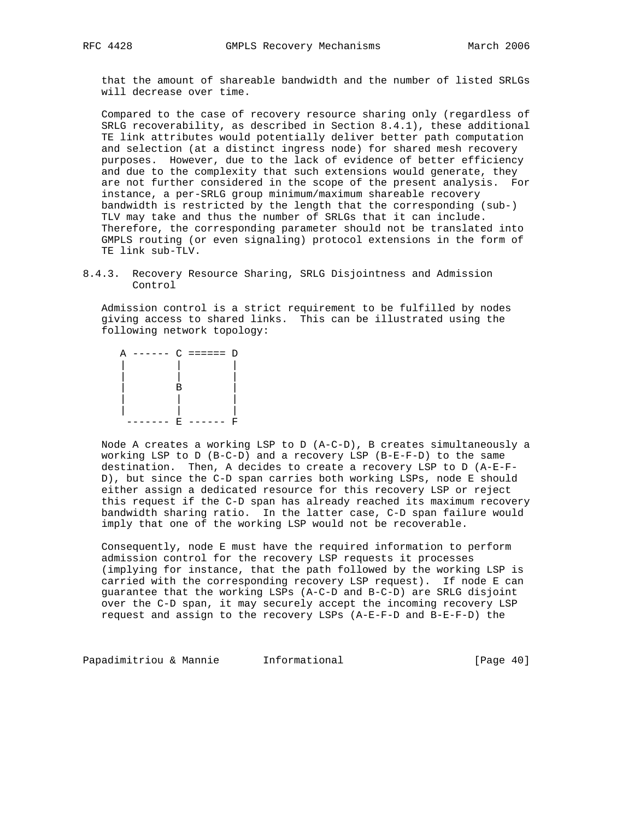that the amount of shareable bandwidth and the number of listed SRLGs will decrease over time.

 Compared to the case of recovery resource sharing only (regardless of SRLG recoverability, as described in Section 8.4.1), these additional TE link attributes would potentially deliver better path computation and selection (at a distinct ingress node) for shared mesh recovery purposes. However, due to the lack of evidence of better efficiency and due to the complexity that such extensions would generate, they are not further considered in the scope of the present analysis. For instance, a per-SRLG group minimum/maximum shareable recovery bandwidth is restricted by the length that the corresponding (sub-) TLV may take and thus the number of SRLGs that it can include. Therefore, the corresponding parameter should not be translated into GMPLS routing (or even signaling) protocol extensions in the form of TE link sub-TLV.

8.4.3. Recovery Resource Sharing, SRLG Disjointness and Admission Control

 Admission control is a strict requirement to be fulfilled by nodes giving access to shared links. This can be illustrated using the following network topology:



 Node A creates a working LSP to D (A-C-D), B creates simultaneously a working LSP to D (B-C-D) and a recovery LSP (B-E-F-D) to the same destination. Then, A decides to create a recovery LSP to D (A-E-F- D), but since the C-D span carries both working LSPs, node E should either assign a dedicated resource for this recovery LSP or reject this request if the C-D span has already reached its maximum recovery bandwidth sharing ratio. In the latter case, C-D span failure would imply that one of the working LSP would not be recoverable.

 Consequently, node E must have the required information to perform admission control for the recovery LSP requests it processes (implying for instance, that the path followed by the working LSP is carried with the corresponding recovery LSP request). If node E can guarantee that the working LSPs (A-C-D and B-C-D) are SRLG disjoint over the C-D span, it may securely accept the incoming recovery LSP request and assign to the recovery LSPs (A-E-F-D and B-E-F-D) the

Papadimitriou & Mannie 1nformational 1999 (Page 40)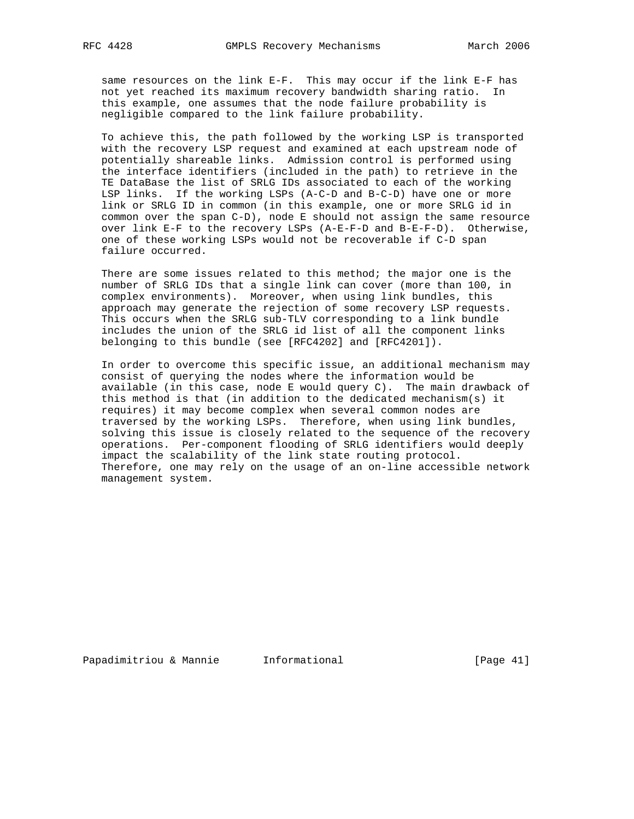same resources on the link E-F. This may occur if the link E-F has not yet reached its maximum recovery bandwidth sharing ratio. In this example, one assumes that the node failure probability is negligible compared to the link failure probability.

 To achieve this, the path followed by the working LSP is transported with the recovery LSP request and examined at each upstream node of potentially shareable links. Admission control is performed using the interface identifiers (included in the path) to retrieve in the TE DataBase the list of SRLG IDs associated to each of the working LSP links. If the working LSPs (A-C-D and B-C-D) have one or more link or SRLG ID in common (in this example, one or more SRLG id in common over the span C-D), node E should not assign the same resource over link E-F to the recovery LSPs (A-E-F-D and B-E-F-D). Otherwise, one of these working LSPs would not be recoverable if C-D span failure occurred.

 There are some issues related to this method; the major one is the number of SRLG IDs that a single link can cover (more than 100, in complex environments). Moreover, when using link bundles, this approach may generate the rejection of some recovery LSP requests. This occurs when the SRLG sub-TLV corresponding to a link bundle includes the union of the SRLG id list of all the component links belonging to this bundle (see [RFC4202] and [RFC4201]).

 In order to overcome this specific issue, an additional mechanism may consist of querying the nodes where the information would be available (in this case, node E would query C). The main drawback of this method is that (in addition to the dedicated mechanism(s) it requires) it may become complex when several common nodes are traversed by the working LSPs. Therefore, when using link bundles, solving this issue is closely related to the sequence of the recovery operations. Per-component flooding of SRLG identifiers would deeply impact the scalability of the link state routing protocol. Therefore, one may rely on the usage of an on-line accessible network management system.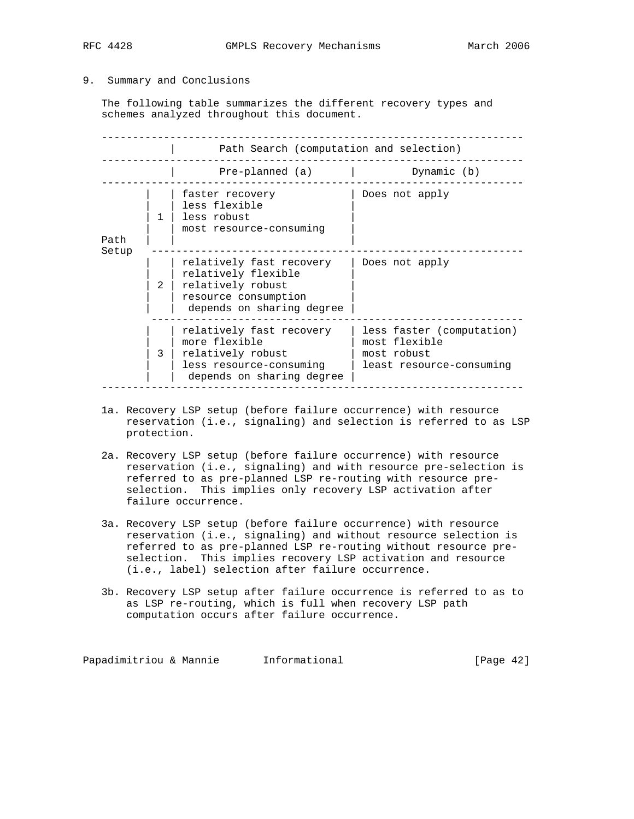# 9. Summary and Conclusions

 The following table summarizes the different recovery types and schemes analyzed throughout this document.

|       | Path Search (computation and selection) |                                                                                                                           |                                                                                       |  |
|-------|-----------------------------------------|---------------------------------------------------------------------------------------------------------------------------|---------------------------------------------------------------------------------------|--|
|       |                                         | Pre-planned (a)                                                                                                           | Dynamic (b)                                                                           |  |
| Path  |                                         | faster recovery<br>less flexible<br>less robust<br>most resource-consuming                                                | Does not apply                                                                        |  |
| Setup | $\mathfrak{D}$                          | relatively fast recovery<br>relatively flexible<br>relatively robust<br>resource consumption<br>depends on sharing degree | Does not apply                                                                        |  |
|       | २                                       | relatively fast recovery<br>more flexible<br>relatively robust<br>less resource-consuming<br>depends on sharing degree    | less faster (computation)<br>most flexible<br>most robust<br>least resource-consuming |  |

- 1a. Recovery LSP setup (before failure occurrence) with resource reservation (i.e., signaling) and selection is referred to as LSP protection.
- 2a. Recovery LSP setup (before failure occurrence) with resource reservation (i.e., signaling) and with resource pre-selection is referred to as pre-planned LSP re-routing with resource pre selection. This implies only recovery LSP activation after failure occurrence.
- 3a. Recovery LSP setup (before failure occurrence) with resource reservation (i.e., signaling) and without resource selection is referred to as pre-planned LSP re-routing without resource pre selection. This implies recovery LSP activation and resource (i.e., label) selection after failure occurrence.
- 3b. Recovery LSP setup after failure occurrence is referred to as to as LSP re-routing, which is full when recovery LSP path computation occurs after failure occurrence.

Papadimitriou & Mannie 1nformational 1999 (Page 42)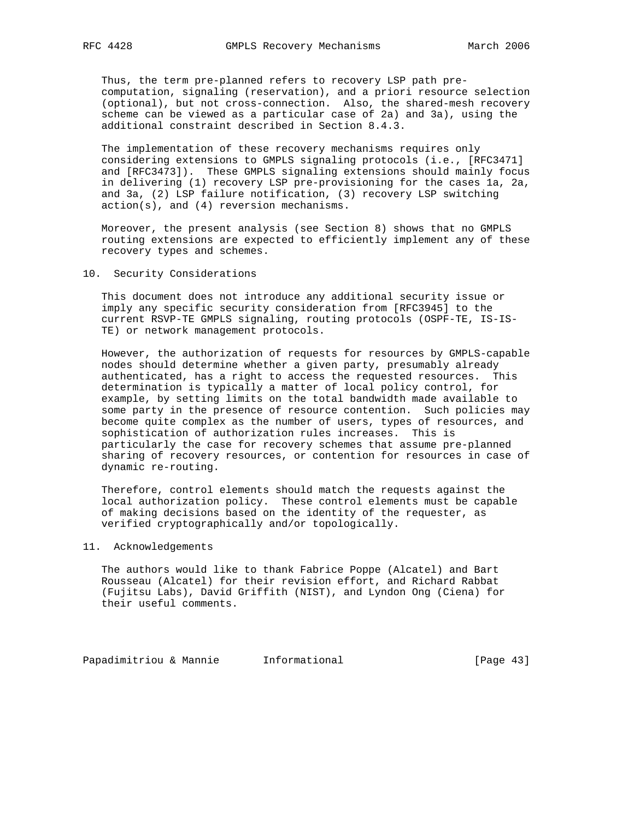Thus, the term pre-planned refers to recovery LSP path pre computation, signaling (reservation), and a priori resource selection (optional), but not cross-connection. Also, the shared-mesh recovery scheme can be viewed as a particular case of 2a) and 3a), using the additional constraint described in Section 8.4.3.

 The implementation of these recovery mechanisms requires only considering extensions to GMPLS signaling protocols (i.e., [RFC3471] and [RFC3473]). These GMPLS signaling extensions should mainly focus in delivering (1) recovery LSP pre-provisioning for the cases 1a, 2a, and 3a, (2) LSP failure notification, (3) recovery LSP switching action(s), and (4) reversion mechanisms.

 Moreover, the present analysis (see Section 8) shows that no GMPLS routing extensions are expected to efficiently implement any of these recovery types and schemes.

#### 10. Security Considerations

 This document does not introduce any additional security issue or imply any specific security consideration from [RFC3945] to the current RSVP-TE GMPLS signaling, routing protocols (OSPF-TE, IS-IS- TE) or network management protocols.

 However, the authorization of requests for resources by GMPLS-capable nodes should determine whether a given party, presumably already authenticated, has a right to access the requested resources. This determination is typically a matter of local policy control, for example, by setting limits on the total bandwidth made available to some party in the presence of resource contention. Such policies may become quite complex as the number of users, types of resources, and sophistication of authorization rules increases. This is particularly the case for recovery schemes that assume pre-planned sharing of recovery resources, or contention for resources in case of dynamic re-routing.

 Therefore, control elements should match the requests against the local authorization policy. These control elements must be capable of making decisions based on the identity of the requester, as verified cryptographically and/or topologically.

## 11. Acknowledgements

 The authors would like to thank Fabrice Poppe (Alcatel) and Bart Rousseau (Alcatel) for their revision effort, and Richard Rabbat (Fujitsu Labs), David Griffith (NIST), and Lyndon Ong (Ciena) for their useful comments.

Papadimitriou & Mannie Informational (Page 43)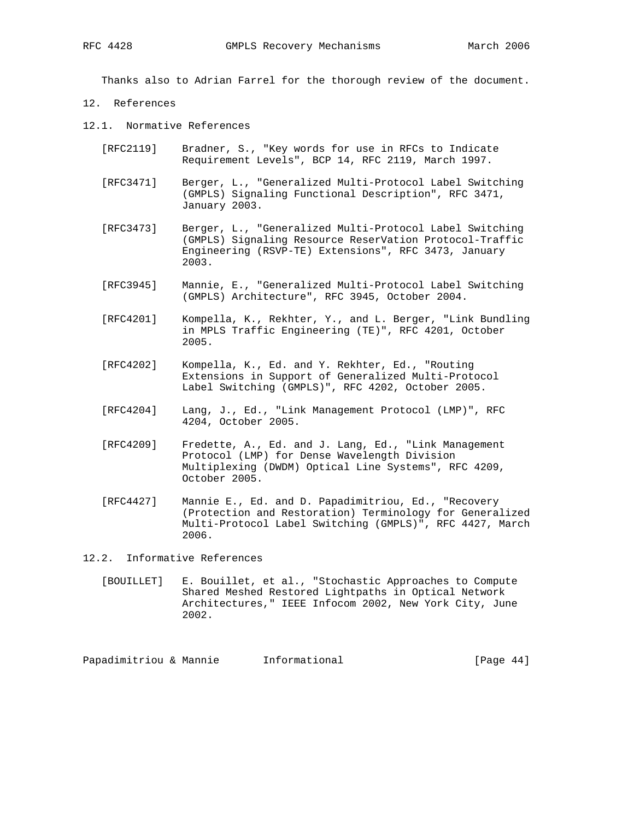Thanks also to Adrian Farrel for the thorough review of the document.

- 12. References
- 12.1. Normative References
	- [RFC2119] Bradner, S., "Key words for use in RFCs to Indicate Requirement Levels", BCP 14, RFC 2119, March 1997.
	- [RFC3471] Berger, L., "Generalized Multi-Protocol Label Switching (GMPLS) Signaling Functional Description", RFC 3471, January 2003.
	- [RFC3473] Berger, L., "Generalized Multi-Protocol Label Switching (GMPLS) Signaling Resource ReserVation Protocol-Traffic Engineering (RSVP-TE) Extensions", RFC 3473, January 2003.
	- [RFC3945] Mannie, E., "Generalized Multi-Protocol Label Switching (GMPLS) Architecture", RFC 3945, October 2004.
	- [RFC4201] Kompella, K., Rekhter, Y., and L. Berger, "Link Bundling in MPLS Traffic Engineering (TE)", RFC 4201, October 2005.
	- [RFC4202] Kompella, K., Ed. and Y. Rekhter, Ed., "Routing Extensions in Support of Generalized Multi-Protocol Label Switching (GMPLS)", RFC 4202, October 2005.
	- [RFC4204] Lang, J., Ed., "Link Management Protocol (LMP)", RFC 4204, October 2005.
	- [RFC4209] Fredette, A., Ed. and J. Lang, Ed., "Link Management Protocol (LMP) for Dense Wavelength Division Multiplexing (DWDM) Optical Line Systems", RFC 4209, October 2005.
	- [RFC4427] Mannie E., Ed. and D. Papadimitriou, Ed., "Recovery (Protection and Restoration) Terminology for Generalized Multi-Protocol Label Switching (GMPLS)", RFC 4427, March 2006.

12.2. Informative References

 [BOUILLET] E. Bouillet, et al., "Stochastic Approaches to Compute Shared Meshed Restored Lightpaths in Optical Network Architectures," IEEE Infocom 2002, New York City, June 2002.

Papadimitriou & Mannie Informational [Page 44]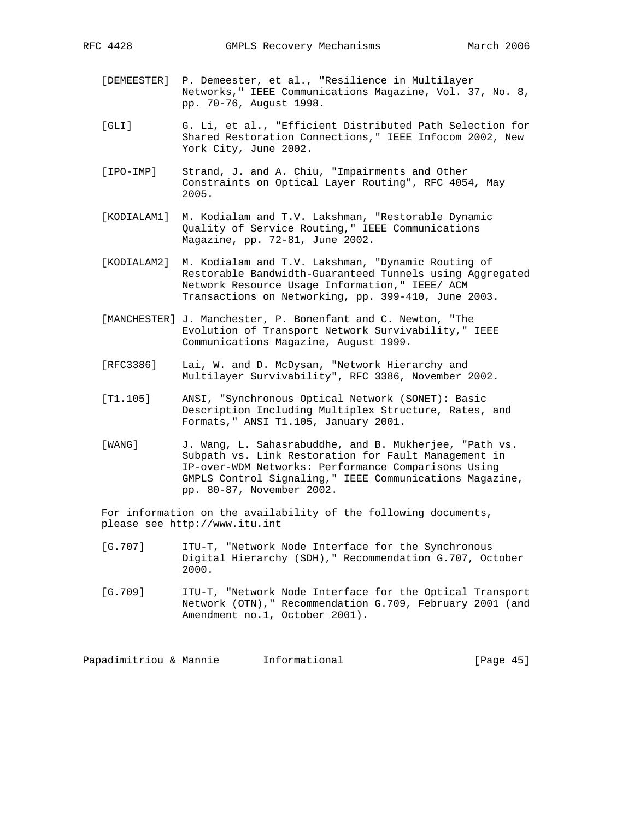- 
- [DEMEESTER] P. Demeester, et al., "Resilience in Multilayer Networks," IEEE Communications Magazine, Vol. 37, No. 8, pp. 70-76, August 1998.
	- [GLI] G. Li, et al., "Efficient Distributed Path Selection for Shared Restoration Connections," IEEE Infocom 2002, New York City, June 2002.
	- [IPO-IMP] Strand, J. and A. Chiu, "Impairments and Other Constraints on Optical Layer Routing", RFC 4054, May 2005.
	- [KODIALAM1] M. Kodialam and T.V. Lakshman, "Restorable Dynamic Quality of Service Routing," IEEE Communications Magazine, pp. 72-81, June 2002.
	- [KODIALAM2] M. Kodialam and T.V. Lakshman, "Dynamic Routing of Restorable Bandwidth-Guaranteed Tunnels using Aggregated Network Resource Usage Information," IEEE/ ACM Transactions on Networking, pp. 399-410, June 2003.
	- [MANCHESTER] J. Manchester, P. Bonenfant and C. Newton, "The Evolution of Transport Network Survivability," IEEE Communications Magazine, August 1999.
	- [RFC3386] Lai, W. and D. McDysan, "Network Hierarchy and Multilayer Survivability", RFC 3386, November 2002.
	- [T1.105] ANSI, "Synchronous Optical Network (SONET): Basic Description Including Multiplex Structure, Rates, and Formats," ANSI T1.105, January 2001.
	- [WANG] J. Wang, L. Sahasrabuddhe, and B. Mukherjee, "Path vs. Subpath vs. Link Restoration for Fault Management in IP-over-WDM Networks: Performance Comparisons Using GMPLS Control Signaling," IEEE Communications Magazine, pp. 80-87, November 2002.

 For information on the availability of the following documents, please see http://www.itu.int

- [G.707] ITU-T, "Network Node Interface for the Synchronous Digital Hierarchy (SDH)," Recommendation G.707, October 2000.
- [G.709] ITU-T, "Network Node Interface for the Optical Transport Network (OTN)," Recommendation G.709, February 2001 (and Amendment no.1, October 2001).

Papadimitriou & Mannie Informational [Page 45]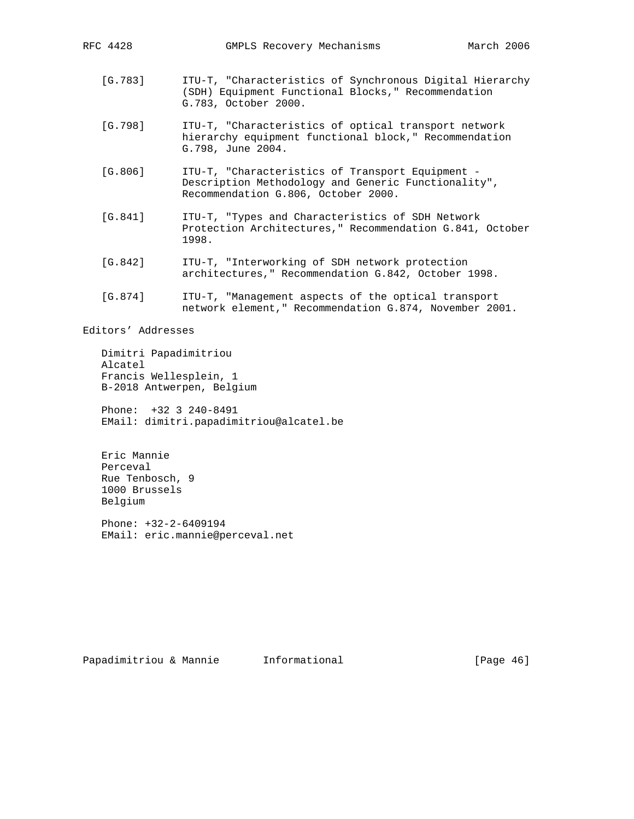- [G.783] ITU-T, "Characteristics of Synchronous Digital Hierarchy (SDH) Equipment Functional Blocks," Recommendation G.783, October 2000.
- [G.798] ITU-T, "Characteristics of optical transport network hierarchy equipment functional block," Recommendation G.798, June 2004.
- [G.806] ITU-T, "Characteristics of Transport Equipment Description Methodology and Generic Functionality", Recommendation G.806, October 2000.
- [G.841] ITU-T, "Types and Characteristics of SDH Network Protection Architectures," Recommendation G.841, October 1998.
- [G.842] ITU-T, "Interworking of SDH network protection architectures," Recommendation G.842, October 1998.
- [G.874] ITU-T, "Management aspects of the optical transport network element," Recommendation G.874, November 2001.

Editors' Addresses

 Dimitri Papadimitriou Alcatel Francis Wellesplein, 1 B-2018 Antwerpen, Belgium

 Phone: +32 3 240-8491 EMail: dimitri.papadimitriou@alcatel.be

 Eric Mannie Perceval Rue Tenbosch, 9 1000 Brussels Belgium

 Phone: +32-2-6409194 EMail: eric.mannie@perceval.net

Papadimitriou & Mannie 1nformational [Page 46]